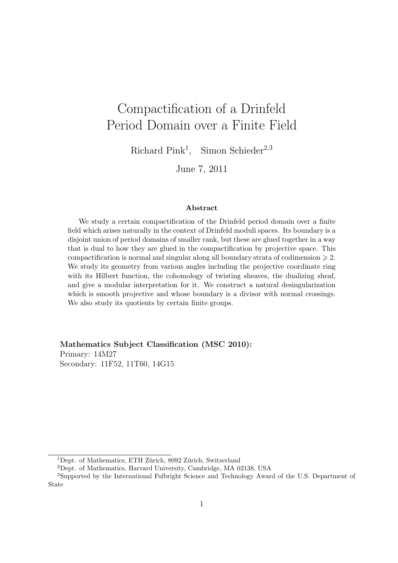# Compactification of a Drinfeld Period Domain over a Finite Field

Richard Pink<sup>1</sup>, Simon Schieder<sup>2,3</sup>

June 7, 2011

#### Abstract

We study a certain compactification of the Drinfeld period domain over a finite field which arises naturally in the context of Drinfeld moduli spaces. Its boundary is a disjoint union of period domains of smaller rank, but these are glued together in a way that is dual to how they are glued in the compactification by projective space. This compactification is normal and singular along all boundary strata of codimension  $\geq 2$ . We study its geometry from various angles including the projective coordinate ring with its Hilbert function, the cohomology of twisting sheaves, the dualizing sheaf, and give a modular interpretation for it. We construct a natural desingularization which is smooth projective and whose boundary is a divisor with normal crossings. We also study its quotients by certain finite groups.

Mathematics Subject Classification (MSC 2010): Primary: 14M27 Secondary: 11F52, 11T60, 14G15

<sup>&</sup>lt;sup>1</sup>Dept. of Mathematics, ETH Zürich, 8092 Zürich, Switzerland

<sup>2</sup>Dept. of Mathematics, Harvard University, Cambridge, MA 02138, USA

<sup>3</sup>Supported by the International Fulbright Science and Technology Award of the U.S. Department of State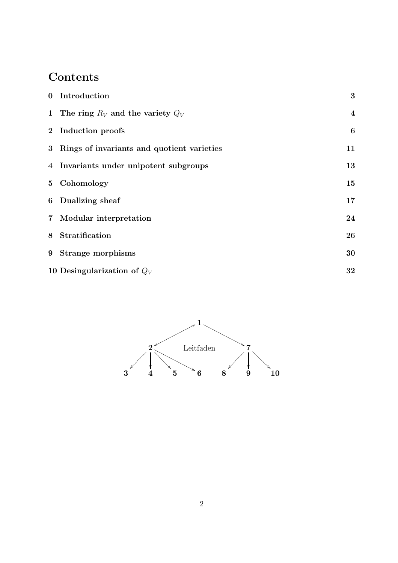# Contents

|                | 0 Introduction                               | 3                       |
|----------------|----------------------------------------------|-------------------------|
|                | 1 The ring $R_V$ and the variety $Q_V$       | $\overline{\mathbf{4}}$ |
|                | 2 Induction proofs                           | $\boldsymbol{6}$        |
|                | 3 Rings of invariants and quotient varieties | 11                      |
|                | 4 Invariants under unipotent subgroups       | 13                      |
|                | 5 Cohomology                                 | 15                      |
|                | 6 Dualizing sheaf                            | 17                      |
| 7 <sup>7</sup> | Modular interpretation                       | 24                      |
| 8              | Stratification                               | 26                      |
|                | 9 Strange morphisms                          | 30                      |
|                | 10 Desingularization of $Q_V$                | 32                      |

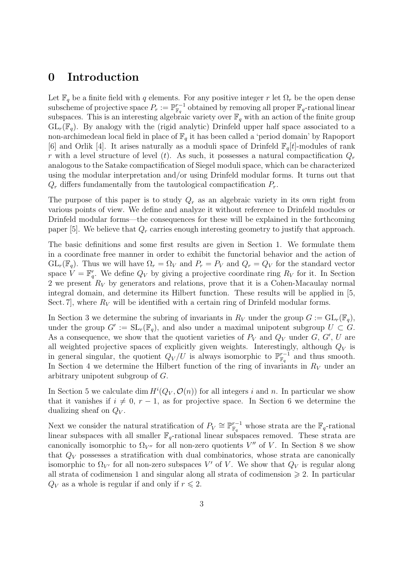#### 0 Introduction

Let  $\mathbb{F}_q$  be a finite field with q elements. For any positive integer r let  $\Omega_r$  be the open dense subscheme of projective space  $P_r := \mathbb{P}_{\mathbb{F}_q}^{r-1}$  $\mathbb{F}_q^{r-1}$  obtained by removing all proper  $\mathbb{F}_q$ -rational linear subspaces. This is an interesting algebraic variety over  $\mathbb{F}_q$  with an action of the finite group  $GL_r(\mathbb{F}_q)$ . By analogy with the (rigid analytic) Drinfeld upper half space associated to a non-archimedean local field in place of  $\mathbb{F}_q$  it has been called a 'period domain' by Rapoport [6] and Orlik [4]. It arises naturally as a moduli space of Drinfeld  $\mathbb{F}_q[t]$ -modules of rank r with a level structure of level (t). As such, it possesses a natural compactification  $Q_r$ analogous to the Satake compactification of Siegel moduli space, which can be characterized using the modular interpretation and/or using Drinfeld modular forms. It turns out that  $Q_r$  differs fundamentally from the tautological compactification  $P_r$ .

The purpose of this paper is to study  $Q_r$  as an algebraic variety in its own right from various points of view. We define and analyze it without reference to Drinfeld modules or Drinfeld modular forms—the consequences for these will be explained in the forthcoming paper [5]. We believe that  $Q_r$  carries enough interesting geometry to justify that approach.

The basic definitions and some first results are given in Section 1. We formulate them in a coordinate free manner in order to exhibit the functorial behavior and the action of  $GL_r(\mathbb{F}_q)$ . Thus we will have  $\Omega_r = \Omega_V$  and  $P_r = P_V$  and  $Q_r = Q_V$  for the standard vector space  $V = \mathbb{F}_q^r$ . We define  $Q_V$  by giving a projective coordinate ring  $R_V$  for it. In Section 2 we present  $R_V$  by generators and relations, prove that it is a Cohen-Macaulay normal integral domain, and determine its Hilbert function. These results will be applied in [5, Sect. 7, where  $R_V$  will be identified with a certain ring of Drinfeld modular forms.

In Section 3 we determine the subring of invariants in  $R_V$  under the group  $G := GL_r(\mathbb{F}_q)$ , under the group  $G' := SL_r(\mathbb{F}_q)$ , and also under a maximal unipotent subgroup  $U \subset G$ . As a consequence, we show that the quotient varieties of  $P_V$  and  $Q_V$  under  $G, G', U$  are all weighted projective spaces of explicitly given weights. Interestingly, although  $Q_V$  is in general singular, the quotient  $Q_V/U$  is always isomorphic to  $\mathbb{P}^{r-1}_{\mathbb{F}_q}$  $_{\mathbb{F}_q}^{r-1}$  and thus smooth. In Section 4 we determine the Hilbert function of the ring of invariants in  $R_V$  under an arbitrary unipotent subgroup of G.

In Section 5 we calculate dim  $H^{i}(Q_V, \mathcal{O}(n))$  for all integers i and n. In particular we show that it vanishes if  $i \neq 0, r - 1$ , as for projective space. In Section 6 we determine the dualizing sheaf on  $Q_V$ .

Next we consider the natural stratification of  $P_V \cong \mathbb{P}_{\mathbb{F}_q}^{r-1}$  whose strata are the  $\mathbb{F}_q$ -rational linear subspaces with all smaller  $\mathbb{F}_q$ -rational linear subspaces removed. These strata are canonically isomorphic to  $\Omega_{V''}$  for all non-zero quotients  $V''$  of V. In Section 8 we show that  $Q_V$  possesses a stratification with dual combinatorics, whose strata are canonically isomorphic to  $\Omega_{V'}$  for all non-zero subspaces V' of V. We show that  $Q_V$  is regular along all strata of codimension 1 and singular along all strata of codimension  $\geq 2$ . In particular  $Q_V$  as a whole is regular if and only if  $r \leq 2$ .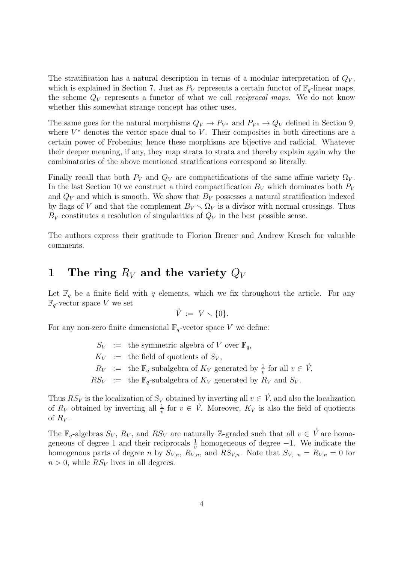The stratification has a natural description in terms of a modular interpretation of  $Q_V$ , which is explained in Section 7. Just as  $P_V$  represents a certain functor of  $\mathbb{F}_q$ -linear maps, the scheme  $Q_V$  represents a functor of what we call *reciprocal maps*. We do not know whether this somewhat strange concept has other uses.

The same goes for the natural morphisms  $Q_V \to P_{V^*}$  and  $P_{V^*} \to Q_V$  defined in Section 9, where  $V^*$  denotes the vector space dual to  $V$ . Their composites in both directions are a certain power of Frobenius; hence these morphisms are bijective and radicial. Whatever their deeper meaning, if any, they map strata to strata and thereby explain again why the combinatorics of the above mentioned stratifications correspond so literally.

Finally recall that both  $P_V$  and  $Q_V$  are compactifications of the same affine variety  $\Omega_V$ . In the last Section 10 we construct a third compactification  $B_V$  which dominates both  $P_V$ and  $Q_V$  and which is smooth. We show that  $B_V$  possesses a natural stratification indexed by flags of V and that the complement  $B_V \setminus \Omega_V$  is a divisor with normal crossings. Thus  $B_V$  constitutes a resolution of singularities of  $Q_V$  in the best possible sense.

The authors express their gratitude to Florian Breuer and Andrew Kresch for valuable comments.

# 1 The ring  $R_V$  and the variety  $Q_V$

Let  $\mathbb{F}_q$  be a finite field with q elements, which we fix throughout the article. For any  $\mathbb{F}_q$ -vector space V we set

$$
\mathring{V} := V \setminus \{0\}.
$$

For any non-zero finite dimensional  $\mathbb{F}_q$ -vector space V we define:

 $S_V$  := the symmetric algebra of V over  $\mathbb{F}_q$ ,  $K_V$  := the field of quotients of  $S_V$ ,  $R_V$  := the  $\mathbb{F}_q$ -subalgebra of  $K_V$  generated by  $\frac{1}{v}$  for all  $v \in V$ ,  $RS_V$  := the  $\mathbb{F}_q$ -subalgebra of  $K_V$  generated by  $R_V$  and  $S_V$ .

Thus  $RS_V$  is the localization of  $S_V$  obtained by inverting all  $v \in V$ , and also the localization of  $R_V$  obtained by inverting all  $\frac{1}{v}$  for  $v \in V$ . Moreover,  $K_V$  is also the field of quotients of  $R_V$ .

The  $\mathbb{F}_q$ -algebras  $S_V$ ,  $R_V$ , and  $RS_V$  are naturally Z-graded such that all  $v \in V$  are homogeneous of degree 1 and their reciprocals  $\frac{1}{v}$  homogeneous of degree -1. We indicate the homogenous parts of degree n by  $S_{V,n}$ ,  $R_{V,n}$ , and  $RS_{V,n}$ . Note that  $S_{V,-n} = R_{V,n} = 0$  for  $n > 0$ , while  $RS_V$  lives in all degrees.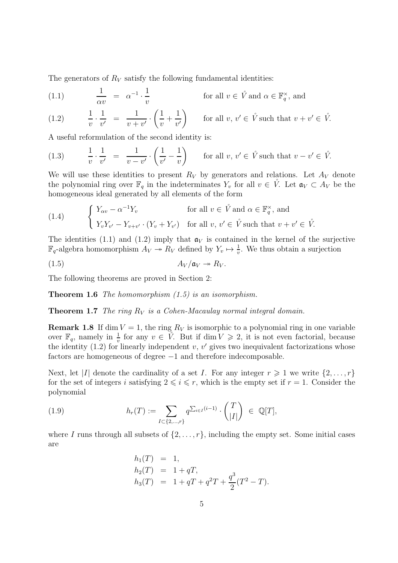The generators of  $R_V$  satisfy the following fundamental identities:

(1.1) 
$$
\frac{1}{\alpha v} = \alpha^{-1} \cdot \frac{1}{v}
$$
 for all  $v \in \mathring{V}$  and  $\alpha \in \mathbb{F}_q^{\times}$ , and

(1.2) 
$$
\frac{1}{v} \cdot \frac{1}{v'} = \frac{1}{v+v'} \cdot \left(\frac{1}{v} + \frac{1}{v'}\right) \quad \text{for all } v, v' \in \mathring{V} \text{ such that } v + v' \in \mathring{V}.
$$

A useful reformulation of the second identity is:

(1.3) 
$$
\frac{1}{v} \cdot \frac{1}{v'} = \frac{1}{v - v'} \cdot \left(\frac{1}{v'} - \frac{1}{v}\right) \quad \text{for all } v, v' \in \mathring{V} \text{ such that } v - v' \in \mathring{V}.
$$

We will use these identities to present  $R_V$  by generators and relations. Let  $A_V$  denote the polynomial ring over  $\mathbb{F}_q$  in the indeterminates  $Y_v$  for all  $v \in V$ . Let  $\mathfrak{a}_V \subset A_V$  be the homogeneous ideal generated by all elements of the form

(1.4) 
$$
\begin{cases} Y_{\alpha v} - \alpha^{-1} Y_v & \text{for all } v \in \mathring{V} \text{ and } \alpha \in \mathbb{F}_q^{\times}, \text{ and} \\ Y_v Y_{v'} - Y_{v+v'} \cdot (Y_v + Y_{v'}) & \text{for all } v, v' \in \mathring{V} \text{ such that } v + v' \in \mathring{V}. \end{cases}
$$

The identities (1.1) and (1.2) imply that  $\mathfrak{a}_V$  is contained in the kernel of the surjective  $\mathbb{F}_q$ -algebra homomorphism  $A_V \to R_V$  defined by  $Y_v \mapsto \frac{1}{v}$ . We thus obtain a surjection

$$
(1.5) \t\t A_V/\mathfrak{a}_V \twoheadrightarrow R_V.
$$

The following theorems are proved in Section 2:

**Theorem 1.6** The homomorphism  $(1.5)$  is an isomorphism.

**Theorem 1.7** The ring  $R_V$  is a Cohen-Macaulay normal integral domain.

**Remark 1.8** If dim  $V = 1$ , the ring  $R_V$  is isomorphic to a polynomial ring in one variable over  $\mathbb{F}_q$ , namely in  $\frac{1}{v}$  for any  $v \in V$ . But if  $\dim V \geq 2$ , it is not even factorial, because the identity  $(1.2)$  for linearly independent v, v' gives two inequivalent factorizations whose factors are homogeneous of degree −1 and therefore indecomposable.

Next, let |I| denote the cardinality of a set I. For any integer  $r \geq 1$  we write  $\{2, \ldots, r\}$ for the set of integers i satisfying  $2 \leq i \leq r$ , which is the empty set if  $r = 1$ . Consider the polynomial

(1.9) 
$$
h_r(T) := \sum_{I \subset \{2,\dots,r\}} q^{\sum_{i \in I} (i-1)} \cdot {T \choose |I|} \in \mathbb{Q}[T],
$$

where I runs through all subsets of  $\{2, \ldots, r\}$ , including the empty set. Some initial cases are

$$
h_1(T) = 1,
$$
  
\n
$$
h_2(T) = 1 + qT,
$$
  
\n
$$
h_3(T) = 1 + qT + q^2T + \frac{q^3}{2}(T^2 - T).
$$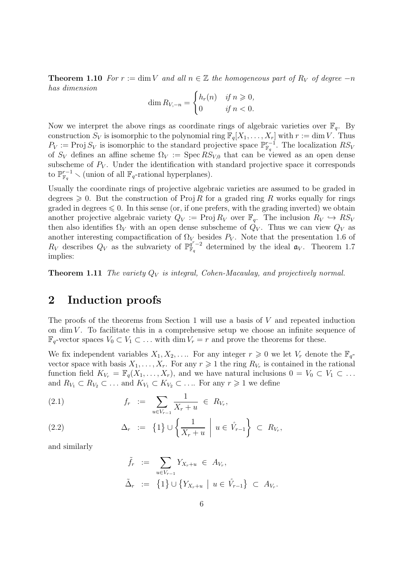**Theorem 1.10** For  $r := \dim V$  and all  $n \in \mathbb{Z}$  the homogeneous part of R<sub>V</sub> of degree  $-n$ has dimension

$$
\dim R_{V,-n} = \begin{cases} h_r(n) & \text{if } n \geqslant 0, \\ 0 & \text{if } n < 0. \end{cases}
$$

Now we interpret the above rings as coordinate rings of algebraic varieties over  $\mathbb{F}_q$ . By construction  $S_V$  is isomorphic to the polynomial ring  $\mathbb{F}_q[X_1, \ldots, X_r]$  with  $r := \dim V$ . Thus  $P_V := \text{Proj } S_V$  is isomorphic to the standard projective space  $\mathbb{P}_{\mathbb{F}_q}^{r-1}$  $_{\mathbb{F}_q}^{r-1}$ . The localization  $RS_V$ of  $S_V$  defines an affine scheme  $\Omega_V := \text{Spec } RS_{V,0}$  that can be viewed as an open dense subscheme of  $P_V$ . Under the identification with standard projective space it corresponds to  $\mathbb{P}^{r-1}_{\mathbb{F}_q} \setminus$  (union of all  $\mathbb{F}_q$ -rational hyperplanes).

Usually the coordinate rings of projective algebraic varieties are assumed to be graded in degrees  $\geq 0$ . But the construction of Proj R for a graded ring R works equally for rings graded in degrees  $\leq 0$ . In this sense (or, if one prefers, with the grading inverted) we obtain another projective algebraic variety  $Q_V := \text{Proj } R_V$  over  $\mathbb{F}_q$ . The inclusion  $R_V \hookrightarrow R_{VV}$ then also identifies  $\Omega_V$  with an open dense subscheme of  $Q_V$ . Thus we can view  $Q_V$  as another interesting compactification of  $\Omega_V$  besides  $P_V$ . Note that the presentation 1.6 of  $R_V$  describes  $Q_V$  as the subvariety of  $\mathbb{P}_{\mathbb{F}_q}^{q^r-2}$  $\frac{q^r-2}{\mathbb{F}_q}$  determined by the ideal  $\mathfrak{a}_V$ . Theorem 1.7 implies:

**Theorem 1.11** The variety  $Q_V$  is integral, Cohen-Macaulay, and projectively normal.

# 2 Induction proofs

The proofs of the theorems from Section 1 will use a basis of  $V$  and repeated induction on  $\dim V$ . To facilitate this in a comprehensive setup we choose an infinite sequence of  $\mathbb{F}_q$ -vector spaces  $V_0 \subset V_1 \subset \ldots$  with dim  $V_r = r$  and prove the theorems for these.

We fix independent variables  $X_1, X_2, \ldots$  For any integer  $r \geq 0$  we let  $V_r$  denote the  $\mathbb{F}_q$ vector space with basis  $X_1, \ldots, X_r$ . For any  $r \geq 1$  the ring  $R_{V_r}$  is contained in the rational function field  $K_{V_r} = \mathbb{F}_q(X_1, \ldots, X_r)$ , and we have natural inclusions  $0 = V_0 \subset V_1 \subset \ldots$ and  $R_{V_1} \subset R_{V_2} \subset \ldots$  and  $K_{V_1} \subset K_{V_2} \subset \ldots$  For any  $r \geq 1$  we define

(2.1) 
$$
f_r := \sum_{u \in V_{r-1}} \frac{1}{X_r + u} \in R_{V_r},
$$

(2.2) 
$$
\Delta_r := \left\{1\right\} \cup \left\{\frac{1}{X_r + u} \middle| u \in \mathring{V}_{r-1}\right\} \subset R_{V_r},
$$

and similarly

$$
\tilde{f}_r := \sum_{u \in V_{r-1}} Y_{X_r + u} \in A_{V_r},
$$
\n
$$
\tilde{\Delta}_r := \{1\} \cup \{Y_{X_r + u} \mid u \in \mathring{V}_{r-1}\} \subset A_{V_r}.
$$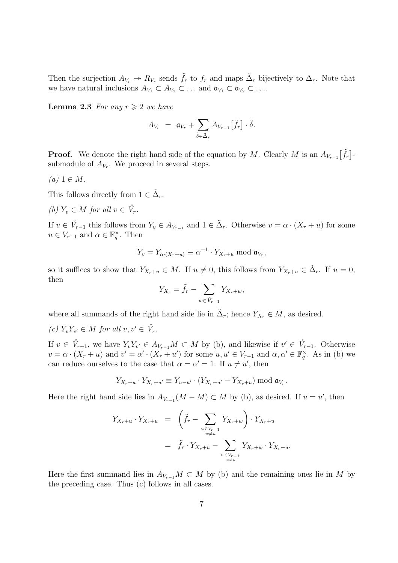Then the surjection  $A_{V_r} \to R_{V_r}$  sends  $\tilde{f}_r$  to  $f_r$  and maps  $\tilde{\Delta}_r$  bijectively to  $\Delta_r$ . Note that we have natural inclusions  $A_{V_1} \subset A_{V_2} \subset \ldots$  and  $\mathfrak{a}_{V_1} \subset \mathfrak{a}_{V_2} \subset \ldots$ 

**Lemma 2.3** For any  $r \geq 2$  we have

$$
A_{V_r} = \mathfrak{a}_{V_r} + \sum_{\tilde{\delta} \in \tilde{\Delta}_r} A_{V_{r-1}} [\tilde{f}_r] \cdot \tilde{\delta}.
$$

**Proof.** We denote the right hand side of the equation by M. Clearly M is an  $A_{V_{r-1}}[\tilde{f}_r]$ submodule of  $A_{V_r}$ . We proceed in several steps.

 $(a)$  1  $\in$  M.

This follows directly from  $1 \in \tilde{\Delta}_r$ .

(b)  $Y_v \in M$  for all  $v \in V_r$ .

If  $v \in V_{r-1}$  this follows from  $Y_v \in A_{V_{r-1}}$  and  $1 \in \tilde{\Delta}_r$ . Otherwise  $v = \alpha \cdot (X_r + u)$  for some  $u \in V_{r-1}$  and  $\alpha \in \mathbb{F}_q^{\times}$ . Then

$$
Y_v = Y_{\alpha \cdot (X_r + u)} \equiv \alpha^{-1} \cdot Y_{X_r + u} \bmod \mathfrak{a}_{V_r},
$$

so it suffices to show that  $Y_{X_r+u} \in M$ . If  $u \neq 0$ , this follows from  $Y_{X_r+u} \in \tilde{\Delta}_r$ . If  $u = 0$ , then

$$
Y_{X_r} = \tilde{f}_r - \sum_{w \in \mathring{V}_{r-1}} Y_{X_r + w},
$$

where all summands of the right hand side lie in  $\tilde{\Delta}_r$ ; hence  $Y_{X_r} \in M$ , as desired.

(c)  $Y_v Y_{v'} \in M$  for all  $v, v' \in \overset{\circ}{V}_r$ .

If  $v \in V_{r-1}$ , we have  $Y_v Y_{v'} \in A_{V_{r-1}}M \subset M$  by (b), and likewise if  $v' \in V_{r-1}$ . Otherwise  $v = \alpha \cdot (X_r + u)$  and  $v' = \alpha' \cdot (X_r + u')$  for some  $u, u' \in V_{r-1}$  and  $\alpha, \alpha' \in \mathbb{F}_q^{\times}$ . As in (b) we can reduce ourselves to the case that  $\alpha = \alpha' = 1$ . If  $u \neq u'$ , then

$$
Y_{X_r+u}\cdot Y_{X_r+u'}\equiv Y_{u-u'}\cdot (Y_{X_r+u'}-Y_{X_r+u})\bmod \mathfrak{a}_{V_r}.
$$

Here the right hand side lies in  $A_{V_{r-1}}(M-M) \subset M$  by (b), as desired. If  $u = u'$ , then

$$
Y_{X_r+u} \cdot Y_{X_r+u} = \left(\tilde{f}_r - \sum_{\substack{w \in V_{r-1} \\ w \neq u}} Y_{X_r+w}\right) \cdot Y_{X_r+u} \\
= \tilde{f}_r \cdot Y_{X_r+u} - \sum_{\substack{w \in V_{r-1} \\ w \neq u}} Y_{X_r+w} \cdot Y_{X_r+u}.
$$

Here the first summand lies in  $A_{V_{r-1}}M\subset M$  by (b) and the remaining ones lie in M by the preceding case. Thus (c) follows in all cases.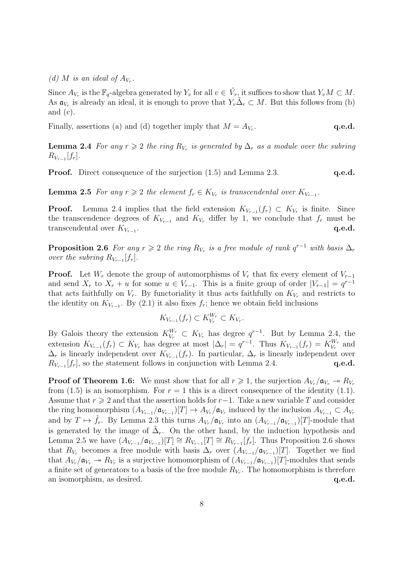(d) M is an ideal of  $A_{V_r}$ .

Since  $A_{V_r}$  is the  $\mathbb{F}_q$ -algebra generated by  $Y_v$  for all  $v \in V_r$ , it suffices to show that  $Y_vM \subset M$ . As  $\mathfrak{a}_{V_r}$  is already an ideal, it is enough to prove that  $Y_v \tilde{\Delta}_r \subset M$ . But this follows from (b) and (c).

Finally, assertions (a) and (d) together imply that  $M = A_{V_r}$ . . q.e.d.

**Lemma 2.4** For any  $r \geq 2$  the ring  $R_{V_r}$  is generated by  $\Delta_r$  as a module over the subring  $R_{V_{r-1}}[f_r].$ 

**Proof.** Direct consequence of the surjection (1.5) and Lemma 2.3. **q.e.d.** 

**Lemma 2.5** For any  $r \geq 2$  the element  $f_r \in K_{V_r}$  is transcendental over  $K_{V_{r-1}}$ .

**Proof.** Lemma 2.4 implies that the field extension  $K_{V_{r-1}}(f_r) \subset K_{V_r}$  is finite. Since the transcendence degrees of  $K_{V_{r-1}}$  and  $K_{V_r}$  differ by 1, we conclude that  $f_r$  must be transcendental over  $K_{V_{r-1}}$ . . The contraction of the contraction of  $\mathbf{q.e.d.}$ 

**Proposition 2.6** For any  $r \geq 2$  the ring  $R_{V_r}$  is a free module of rank  $q^{r-1}$  with basis  $\Delta_r$ over the subring  $R_{V_{r-1}}[f_r]$ .

**Proof.** Let  $W_r$  denote the group of automorphisms of  $V_r$  that fix every element of  $V_{r-1}$ and send  $X_r$  to  $X_r + u$  for some  $u \in V_{r-1}$ . This is a finite group of order  $|V_{r-1}| = q^{r-1}$ that acts faithfully on  $V_r$ . By functoriality it thus acts faithfully on  $K_{V_r}$  and restricts to the identity on  $K_{V_{r-1}}$ . By (2.1) it also fixes  $f_r$ ; hence we obtain field inclusions

$$
K_{V_{r-1}}(f_r) \subset K_{V_r}^{W_r} \subset K_{V_r}.
$$

By Galois theory the extension  $K_{V_r}^{W_r} \subset K_{V_r}$  has degree  $q^{r-1}$ . But by Lemma 2.4, the extension  $K_{V_{r-1}}(f_r) \subset K_{V_r}$  has degree at most  $|\Delta_r| = q^{r-1}$ . Thus  $K_{V_{r-1}}(f_r) = K_{V_r}^{W_r}$  $V_r^{W_r}$  and  $\Delta_r$  is linearly independent over  $K_{V_{r-1}}(f_r)$ . In particular,  $\Delta_r$  is linearly independent over  $R_{V_{r-1}}[f_r]$ , so the statement follows in conjunction with Lemma 2.4. q.e.d.

**Proof of Theorem 1.6:** We must show that for all  $r \geq 1$ , the surjection  $A_{V_r}/\mathfrak{a}_{V_r} \to R_{V_r}$ from (1.5) is an isomorphism. For  $r = 1$  this is a direct consequence of the identity (1.1). Assume that  $r \geq 2$  and that the assertion holds for  $r-1$ . Take a new variable T and consider the ring homomorphism  $(A_{V_{r-1}}/a_{V_{r-1}})[T] \to A_{V_r}/a_{V_r}$  induced by the inclusion  $A_{V_{r-1}} \subset A_{V_r}$ and by  $T \mapsto \tilde{f}_r$ . By Lemma 2.3 this turns  $A_{V_r}/\mathfrak{a}_{V_r}$  into an  $(A_{V_{r-1}}/\mathfrak{a}_{V_{r-1}})[T]$ -module that is generated by the image of  $\tilde{\Delta}_r$ . On the other hand, by the induction hypothesis and Lemma 2.5 we have  $(A_{V_{r-1}}/a_{V_{r-1}})[T] \cong R_{V_{r-1}}[T] \cong R_{V_{r-1}}[f_r]$ . Thus Proposition 2.6 shows that  $R_{V_r}$  becomes a free module with basis  $\Delta_r$  over  $(A_{V_{r-1}}/A_{V_{r-1}})[T]$ . Together we find that  $A_{V_r}/\mathfrak{a}_{V_r} \to R_{V_r}$  is a surjective homomorphism of  $(A_{V_{r-1}}/\mathfrak{a}_{V_{r-1}})[T]$ -modules that sends a finite set of generators to a basis of the free module  $R_{V_r}$ . The homomorphism is therefore an isomorphism, as desired.  $q.e.d.$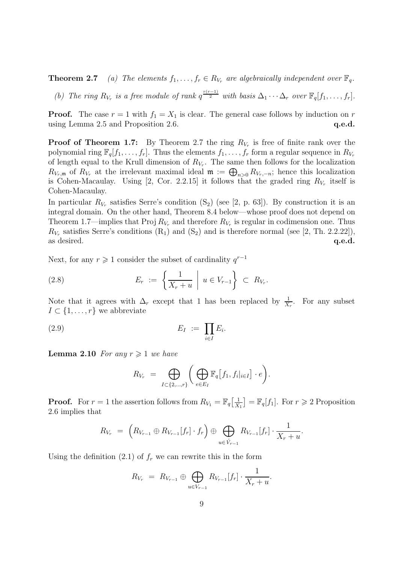**Theorem 2.7** (a) The elements  $f_1, \ldots, f_r \in R_{V_r}$  are algebraically independent over  $\mathbb{F}_q$ .

(b) The ring  $R_{V_r}$  is a free module of rank  $q^{\frac{r(r-1)}{2}}$  with basis  $\Delta_1 \cdots \Delta_r$  over  $\mathbb{F}_q[f_1, \ldots, f_r]$ .

**Proof.** The case  $r = 1$  with  $f_1 = X_1$  is clear. The general case follows by induction on r using Lemma 2.5 and Proposition 2.6.  $q.e.d.$ 

**Proof of Theorem 1.7:** By Theorem 2.7 the ring  $R_{V_r}$  is free of finite rank over the polynomial ring  $\mathbb{F}_q[f_1,\ldots,f_r]$ . Thus the elements  $f_1,\ldots,f_r$  form a regular sequence in  $R_{V_r}$ of length equal to the Krull dimension of  $R_{V_r}$ . The same then follows for the localization  $R_{V_r,m}$  of  $R_{V_r}$  at the irrelevant maximal ideal  $\mathfrak{m} := \bigoplus_{n>0} R_{V_r,-n}$ ; hence this localization is Cohen-Macaulay. Using [2, Cor. 2.2.15] it follows that the graded ring  $R_{V_r}$  itself is Cohen-Macaulay.

In particular  $R_{V_r}$  satisfies Serre's condition  $(S_2)$  (see [2, p. 63]). By construction it is an integral domain. On the other hand, Theorem 8.4 below—whose proof does not depend on Theorem 1.7—implies that Proj  $R_{V_r}$  and therefore  $R_{V_r}$  is regular in codimension one. Thus  $R_{V_r}$  satisfies Serre's conditions  $(R_1)$  and  $(S_2)$  and is therefore normal (see [2, Th. 2.2.22]), as desired.  $q.e.d.$ 

Next, for any  $r \geq 1$  consider the subset of cardinality  $q^{r-1}$ 

$$
(2.8) \t\t\t E_r := \left\{ \frac{1}{X_r + u} \middle| u \in V_{r-1} \right\} \subset R_{V_r}.
$$

Note that it agrees with  $\Delta_r$  except that 1 has been replaced by  $\frac{1}{X_r}$ . For any subset  $I \subset \{1, \ldots, r\}$  we abbreviate

$$
(2.9) \t\t\t E_I := \prod_{i \in I} E_i.
$$

**Lemma 2.10** For any  $r \geq 1$  we have

$$
R_{V_r} = \bigoplus_{I \subset \{2,\ldots,r\}} \bigg( \bigoplus_{e \in E_I} \mathbb{F}_q[f_1, f_i|_{i \in I}] \cdot e \bigg).
$$

**Proof.** For  $r = 1$  the assertion follows from  $R_{V_1} = \mathbb{F}_q \left[ \frac{1}{X} \right]$  $\frac{1}{X_1}$  =  $\mathbb{F}_q[f_1]$ . For  $r \geq 2$  Proposition 2.6 implies that

$$
R_{V_r} = \left(R_{V_{r-1}} \oplus R_{V_{r-1}}[f_r] \cdot f_r\right) \oplus \bigoplus_{u \in \mathring{V}_{r-1}} R_{V_{r-1}}[f_r] \cdot \frac{1}{X_r + u}.
$$

Using the definition (2.1) of  $f_r$  we can rewrite this in the form

$$
R_{V_r} = R_{V_{r-1}} \oplus \bigoplus_{u \in V_{r-1}} R_{V_{r-1}}[f_r] \cdot \frac{1}{X_r + u}.
$$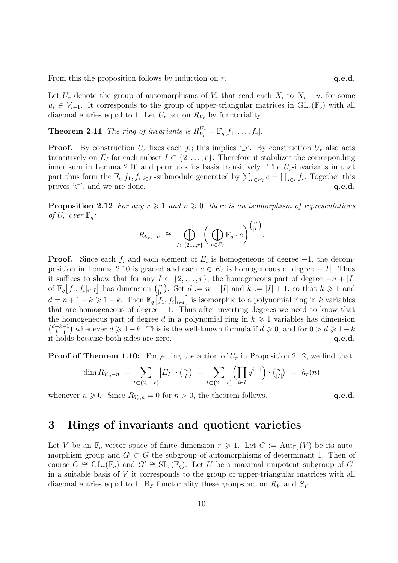From this the proposition follows by induction on  $r$ .  $q.e.d.$ 

Let  $U_r$  denote the group of automorphisms of  $V_r$  that send each  $X_i$  to  $X_i + u_i$  for some  $u_i \in V_{i-1}$ . It corresponds to the group of upper-triangular matrices in  $GL_r(\mathbb{F}_q)$  with all diagonal entries equal to 1. Let  $U_r$  act on  $R_{V_r}$  by functoriality.

**Theorem 2.11** The ring of invariants is  $R_{V_r}^{U_r} = \mathbb{F}_q[f_1, \ldots, f_r].$ 

**Proof.** By construction  $U_r$  fixes each  $f_i$ ; this implies ' $\supset$ '. By construction  $U_r$  also acts transitively on  $E_I$  for each subset  $I \subset \{2,\ldots,r\}$ . Therefore it stabilizes the corresponding inner sum in Lemma 2.10 and permutes its basis transitively. The  $U_r$ -invariants in that part thus form the  $\mathbb{F}_q[f_1, f_i]_{i\in I}$ -submodule generated by  $\sum_{e\in E_I} e = \prod_{i\in I} f_i$ . Together this proves  $\subset$ , and we are done. q.e.d.

**Proposition 2.12** For any  $r \geq 1$  and  $n \geq 0$ , there is an isomorphism of representations of  $U_r$  over  $\mathbb{F}_q$ :

$$
R_{V_r,-n} \cong \bigoplus_{I \subset \{2,\ldots,r\}} \bigg( \bigoplus_{e \in E_I} \mathbb{F}_q \cdot e \bigg)^{\binom{n}{|I|}}.
$$

**Proof.** Since each  $f_i$  and each element of  $E_i$  is homogeneous of degree  $-1$ , the decomposition in Lemma 2.10 is graded and each  $e \in E_I$  is homogeneous of degree  $-|I|$ . Thus it suffices to show that for any  $I \subset \{2,\ldots,r\}$ , the homogeneous part of degree  $-n+|I|$ of  $\mathbb{F}_q[f_1, f_i|_{i \in I}]$  has dimension  $\binom{n}{|I|}$  $\binom{n}{|I|}$ . Set  $d := n - |I|$  and  $k := |I| + 1$ , so that  $k \geq 1$  and  $d = n + 1 - k \geq 1 - k$ . Then  $\mathbb{F}_q[f_1, f_i|_{i \in I}]$  is isomorphic to a polynomial ring in k variables that are homogeneous of degree  $-1$ . Thus after inverting degrees we need to know that the homogeneous part of degree d in a polynomial ring in  $k \geq 1$  variables has dimension  $\binom{d+k-1}{k-1}$  $\binom{k+1}{k-1}$  whenever  $d \geq 1-k$ . This is the well-known formula if  $d \geq 0$ , and for  $0 > d \geq 1-k$ it holds because both sides are zero. q.e.d.

**Proof of Theorem 1.10:** Forgetting the action of  $U_r$  in Proposition 2.12, we find that

$$
\dim R_{V_r,-n} = \sum_{I \subset \{2,\dots,r\}} |E_I| \cdot {n \choose |I|} = \sum_{I \subset \{2,\dots,r\}} \left(\prod_{i \in I} q^{i-1}\right) \cdot {n \choose |I|} = h_r(n)
$$

whenever  $n \geq 0$ . Since  $R_{V_r,n} = 0$  for  $n > 0$ , the theorem follows. **q.e.d.** 

# 3 Rings of invariants and quotient varieties

Let V be an  $\mathbb{F}_q$ -vector space of finite dimension  $r \geq 1$ . Let  $G := \text{Aut}_{\mathbb{F}_q}(V)$  be its automorphism group and  $G' \subset G$  the subgroup of automorphisms of determinant 1. Then of course  $G \cong GL_r(\mathbb{F}_q)$  and  $G' \cong SL_r(\mathbb{F}_q)$ . Let U be a maximal unipotent subgroup of G; in a suitable basis of V it corresponds to the group of upper-triangular matrices with all diagonal entries equal to 1. By functoriality these groups act on  $R_V$  and  $S_V$ .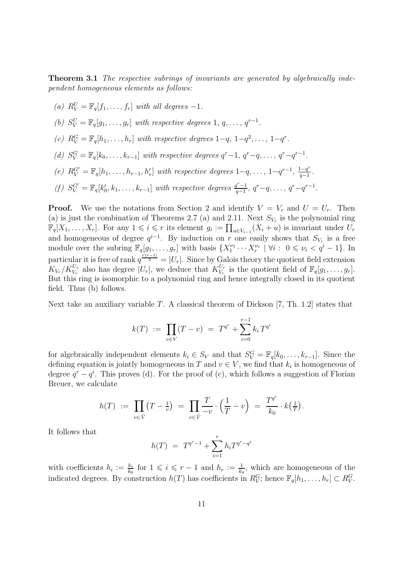**Theorem 3.1** The respective subrings of invariants are generated by algebraically independent homogeneous elements as follows:

- (a)  $R_V^U = \mathbb{F}_q[f_1, \ldots, f_r]$  with all degrees  $-1$ .
- (b)  $S_V^U = \mathbb{F}_q[g_1, \ldots, g_r]$  with respective degrees 1,  $q, \ldots, q^{r-1}$ .
- (c)  $R_V^G = \mathbb{F}_q[h_1, \ldots, h_r]$  with respective degrees  $1-q, 1-q^2, \ldots, 1-q^r$ .
- (d)  $S_V^G = \mathbb{F}_q[k_0, \ldots, k_{r-1}]$  with respective degrees  $q^r 1$ ,  $q^r q$ , ...,  $q^r q^{r-1}$ .
- (e)  $R_V^{G'} = \mathbb{F}_q[h_1, \ldots, h_{r-1}, h'_r]$  with respective degrees  $1-q, \ldots, 1-q^{r-1}, \frac{1-q^r}{q-1}$  $\frac{q-q^r}{q-1}$ .
- (f)  $S_V^{G'} = \mathbb{F}_q[k'_0, k_1, \ldots, k_{r-1}]$  with respective degrees  $\frac{q^r 1}{q-1}$  $q^{r-1}_{q-1}, q^{r-q}, \ldots, q^{r-q^{r-1}}.$

**Proof.** We use the notations from Section 2 and identify  $V = V_r$  and  $U = U_r$ . Then (a) is just the combination of Theorems 2.7 (a) and 2.11. Next  $S_{V_r}$  is the polynomial ring  $\mathbb{F}_q[X_1,\ldots,X_r]$ . For any  $1 \leqslant i \leqslant r$  its element  $g_i := \prod_{u \in V_{i-1}} (X_i + u)$  is invariant under  $U_r$ and homogeneous of degree  $q^{i-1}$ . By induction on r one easily shows that  $S_{V_r}$  is a free module over the subring  $\mathbb{F}_q[g_1,\ldots,g_r]$  with basis  $\{X_1^{\nu_1}\cdots X_r^{\nu_r} \mid \forall i: 0 \leq \nu_i < q^i-1\}$ . In particular it is free of rank  $q^{\frac{r(r-1)}{2}} = |U_r|$ . Since by Galois theory the quotient field extension  $K_{V_r}/K_{V_r}^{U_r}$  also has degree  $|U_r|$ , we deduce that  $K_{V_r}^{U_r}$  $V_r^r$  is the quotient field of  $\mathbb{F}_q[g_1,\ldots,g_r].$ But this ring is isomorphic to a polynomial ring and hence integrally closed in its quotient field. Thus (b) follows.

Next take an auxiliary variable  $T$ . A classical theorem of Dickson  $[7, Th. 1.2]$  states that

$$
k(T) := \prod_{v \in V} (T - v) = T^{q^r} + \sum_{i=0}^{r-1} k_i T^{q^i}
$$

for algebraically independent elements  $k_i \in S_V$  and that  $S_V^G = \mathbb{F}_q[k_0, \ldots, k_{r-1}]$ . Since the defining equation is jointly homogeneous in T and  $v \in V$ , we find that  $k_i$  is homogeneous of degree  $q^r - q^i$ . This proves (d). For the proof of (c), which follows a suggestion of Florian Breuer, we calculate

$$
h(T) := \prod_{v \in \mathring{V}} (T - \frac{1}{v}) = \prod_{v \in \mathring{V}} \frac{T}{-v} \cdot \left(\frac{1}{T} - v\right) = \frac{T^{q^r}}{k_0} \cdot k\left(\frac{1}{T}\right).
$$

It follows that

$$
h(T) = T^{q^r - 1} + \sum_{i=1}^r h_i T^{q^r - q^i}
$$

with coefficients  $h_i := \frac{k_i}{k_0}$  for  $1 \leqslant i \leqslant r-1$  and  $h_r := \frac{1}{k_0}$ , which are homogeneous of the indicated degrees. By construction  $h(T)$  has coefficients in  $R_V^G$ ; hence  $\mathbb{F}_q[h_1,\ldots,h_r] \subset R_V^G$ .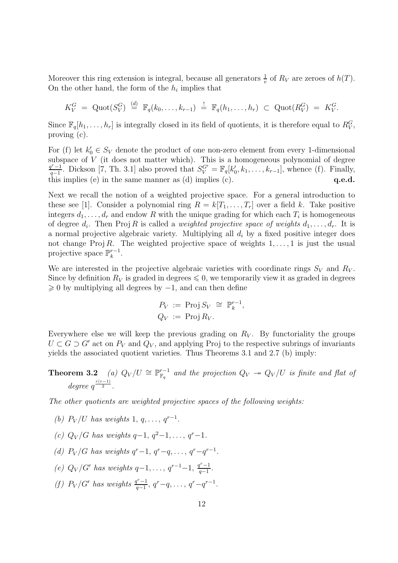Moreover this ring extension is integral, because all generators  $\frac{1}{v}$  of  $R_V$  are zeroes of  $h(T)$ . On the other hand, the form of the  $h_i$  implies that

$$
K_V^G = \mathrm{Quot}(S_V^G) \stackrel{(d)}{=} \mathbb{F}_q(k_0,\ldots,k_{r-1}) \stackrel{!}{=} \mathbb{F}_q(h_1,\ldots,h_r) \subset \mathrm{Quot}(R_V^G) = K_V^G.
$$

Since  $\mathbb{F}_q[h_1,\ldots,h_r]$  is integrally closed in its field of quotients, it is therefore equal to  $R_V^G$ , proving (c).

For (f) let  $k'_0 \in S_V$  denote the product of one non-zero element from every 1-dimensional subspace of  $V$  (it does not matter which). This is a homogeneous polynomial of degree  $q^r-1$  $\frac{q^{r}-1}{q-1}$ . Dickson [7, Th. 3.1] also proved that  $S_V^{G'} = \mathbb{F}_q[k'_0, k_1, \ldots, k_{r-1}]$ , whence (f). Finally, this implies (e) in the same manner as (d) implies (c).  $q.e.d.$ 

Next we recall the notion of a weighted projective space. For a general introduction to these see [1]. Consider a polynomial ring  $R = k[T_1, \ldots, T_r]$  over a field k. Take positive integers  $d_1, \ldots, d_r$  and endow R with the unique grading for which each  $T_i$  is homogeneous of degree  $d_i$ . Then Proj R is called a *weighted projective space of weights*  $d_1, \ldots, d_r$ . It is a normal projective algebraic variety. Multiplying all  $d_i$  by a fixed positive integer does not change Proj R. The weighted projective space of weights  $1, \ldots, 1$  is just the usual projective space  $\mathbb{P}_{k}^{r-1}$  $\frac{r-1}{k}$ .

We are interested in the projective algebraic varieties with coordinate rings  $S_V$  and  $R_V$ . Since by definition  $R_V$  is graded in degrees  $\leq 0$ , we temporarily view it as graded in degrees  $\geq 0$  by multiplying all degrees by  $-1$ , and can then define

$$
P_V := \text{Proj } S_V \cong \mathbb{P}_k^{r-1},
$$
  

$$
Q_V := \text{Proj } R_V.
$$

Everywhere else we will keep the previous grading on  $R_V$ . By functoriality the groups  $U \subset G \supset G'$  act on  $P_V$  and  $Q_V$ , and applying Proj to the respective subrings of invariants yields the associated quotient varieties. Thus Theorems 3.1 and 2.7 (b) imply:

Theorem 3.2 (a)  $Q_V/U \cong \mathbb{P}_{\mathbb{F}_q}^{r-1}$  $\mathbb{F}_q^{r-1}$  and the projection  $Q_V \twoheadrightarrow Q_V/U$  is finite and flat of degree  $q^{\frac{r(r-1)}{2}}$ .

The other quotients are weighted projective spaces of the following weights:

- (b)  $P_V/U$  has weights 1,  $q, \ldots, q^{r-1}$ .
- (c)  $Q_V/G$  has weights  $q-1, q^2-1, \ldots, q^r-1$ .
- (d)  $P_V/G$  has weights  $q^r-1$ ,  $q^r-q$ , ...,  $q^r-q^{r-1}$ .
- (e)  $Q_V/G'$  has weights  $q-1, \ldots, q^{r-1}-1, \frac{q^{r}-1}{q-1}$  $rac{q-1}{q-1}$ .
- (f)  $P_V/G'$  has weights  $\frac{q^r-1}{q-1}$  $q^{r-1}_{q-1}, q^{r-q}, \ldots, q^{r-q^{r-1}}.$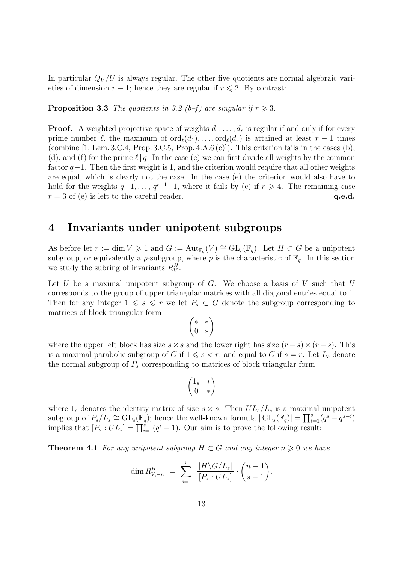In particular  $Q_V/U$  is always regular. The other five quotients are normal algebraic varieties of dimension  $r - 1$ ; hence they are regular if  $r \leq 2$ . By contrast:

**Proposition 3.3** The quotients in 3.2 (b-f) are singular if  $r \ge 3$ .

**Proof.** A weighted projective space of weights  $d_1, \ldots, d_r$  is regular if and only if for every prime number  $\ell$ , the maximum of  $\text{ord}_{\ell}(d_1), \ldots, \text{ord}_{\ell}(d_r)$  is attained at least  $r-1$  times (combine  $[1, \text{ Lem. } 3.\text{C.4}, \text{Prop. } 3.\text{C.5}, \text{Prop. } 4.\text{A.6} (\text{c})]$ ). This criterion fails in the cases (b), (d), and (f) for the prime  $\ell | q$ . In the case (c) we can first divide all weights by the common factor  $q-1$ . Then the first weight is 1, and the criterion would require that all other weights are equal, which is clearly not the case. In the case (e) the criterion would also have to hold for the weights  $q-1, \ldots, q^{r-1}-1$ , where it fails by (c) if  $r \geq 4$ . The remaining case  $r = 3$  of (e) is left to the careful reader. q.e.d.

#### 4 Invariants under unipotent subgroups

As before let  $r := \dim V \geq 1$  and  $G := \text{Aut}_{\mathbb{F}_q}(V) \cong \text{GL}_r(\mathbb{F}_q)$ . Let  $H \subset G$  be a unipotent subgroup, or equivalently a p-subgroup, where p is the characteristic of  $\mathbb{F}_q$ . In this section we study the subring of invariants  $R_V^H$ .

Let U be a maximal unipotent subgroup of G. We choose a basis of V such that  $U$ corresponds to the group of upper triangular matrices with all diagonal entries equal to 1. Then for any integer  $1 \le s \le r$  we let  $P_s \subset G$  denote the subgroup corresponding to matrices of block triangular form

$$
\begin{pmatrix} *&*\\0&*\end{pmatrix}
$$

where the upper left block has size  $s \times s$  and the lower right has size  $(r - s) \times (r - s)$ . This is a maximal parabolic subgroup of G if  $1 \le s < r$ , and equal to G if  $s = r$ . Let  $L_s$  denote the normal subgroup of  $P<sub>s</sub>$  corresponding to matrices of block triangular form

$$
\begin{pmatrix} 1_s & * \\ 0 & * \end{pmatrix}
$$

where  $1_s$  denotes the identity matrix of size  $s \times s$ . Then  $UL_s/L_s$  is a maximal unipotent subgroup of  $P_s/L_s \cong GL_s(\mathbb{F}_q)$ ; hence the well-known formula  $|\mathrm{GL}_s(\mathbb{F}_q)| = \prod_{i=1}^s (q^s - q^{s-i})$ implies that  $[P_s:UL_s] = \prod_{i=1}^s (q^i-1)$ . Our aim is to prove the following result:

**Theorem 4.1** For any unipotent subgroup  $H \subset G$  and any integer  $n \geq 0$  we have

$$
\dim R_{V, -n}^H = \sum_{s=1}^r \frac{|H \backslash G / L_s|}{[P_s : UL_s]} \cdot \binom{n-1}{s-1}.
$$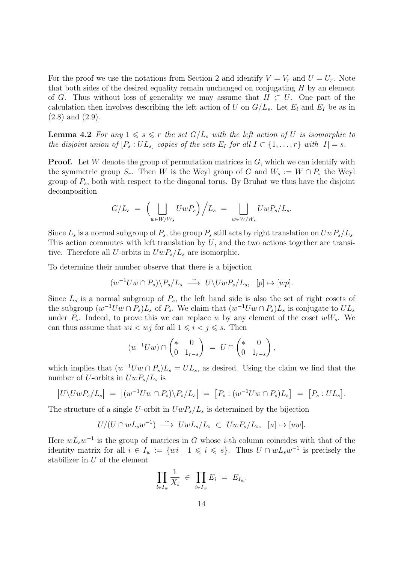For the proof we use the notations from Section 2 and identify  $V = V_r$  and  $U = U_r$ . Note that both sides of the desired equality remain unchanged on conjugating  $H$  by an element of G. Thus without loss of generality we may assume that  $H \subset U$ . One part of the calculation then involves describing the left action of U on  $G/L_s$ . Let  $E_i$  and  $E_I$  be as in (2.8) and (2.9).

**Lemma 4.2** For any  $1 \le s \le r$  the set  $G/L_s$  with the left action of U is isomorphic to the disjoint union of  $[P_s:UL_s]$  copies of the sets  $E_I$  for all  $I \subset \{1,\ldots,r\}$  with  $|I|=s$ .

**Proof.** Let W denote the group of permutation matrices in  $G$ , which we can identify with the symmetric group  $S_r$ . Then W is the Weyl group of G and  $W_s := W \cap P_s$  the Weyl group of  $P_s$ , both with respect to the diagonal torus. By Bruhat we thus have the disjoint decomposition

$$
G/L_s = \left(\bigcup_{w \in W/W_s} UwP_s\right)\Big/L_s = \bigcup_{w \in W/W_s} UwP_s/L_s.
$$

Since  $L_s$  is a normal subgroup of  $P_s$ , the group  $P_s$  still acts by right translation on  $UwP_s/L_s$ . This action commutes with left translation by  $U$ , and the two actions together are transitive. Therefore all U-orbits in  $UwP_s/L_s$  are isomorphic.

To determine their number observe that there is a bijection

$$
(w^{-1}Uw \cap P_s) \backslash P_s/L_s \xrightarrow{\sim} U \backslash UwP_s/L_s, \quad [p] \mapsto [wp].
$$

Since  $L_s$  is a normal subgroup of  $P_s$ , the left hand side is also the set of right cosets of the subgroup  $(w^{-1}Uw \cap P_s)L_s$  of  $P_s$ . We claim that  $(w^{-1}Uw \cap P_s)L_s$  is conjugate to  $UL_s$ under  $P_s$ . Indeed, to prove this we can replace w by any element of the coset  $wW_s$ . We can thus assume that  $wi < wj$  for all  $1 \leq i < j \leq s$ . Then

$$
(w^{-1}Uw) \cap \begin{pmatrix} * & 0 \\ 0 & 1_{r-s} \end{pmatrix} = U \cap \begin{pmatrix} * & 0 \\ 0 & 1_{r-s} \end{pmatrix},
$$

which implies that  $(w^{-1}Uw \cap P_s)L_s = UL_s$ , as desired. Using the claim we find that the number of U-orbits in  $UwP_s/L_s$  is

$$
\left|U\backslash UwP_s/L_s\right| = \left|(w^{-1}Uw\cap P_s)\backslash P_s/L_s\right| = \left[P_s:(w^{-1}Uw\cap P_s)L_s\right] = \left[P_s:UL_s\right].
$$

The structure of a single U-orbit in  $UwP_s/L_s$  is determined by the bijection

$$
U/(U\cap wL_sw^{-1})\ \stackrel{\sim}{\longrightarrow}\ UwL_s/L_s\ \subset\ UwP_s/L_s,\ \ [u]\mapsto [uw].
$$

Here  $wL_s w^{-1}$  is the group of matrices in G whose *i*-th column coincides with that of the identity matrix for all  $i \in I_w := \{wi \mid 1 \leqslant i \leqslant s\}$ . Thus  $U \cap wL_s w^{-1}$  is precisely the stabilizer in U of the element

$$
\prod_{i\in I_w}\frac{1}{X_i} \in \prod_{i\in I_w}E_i = E_{I_w}.
$$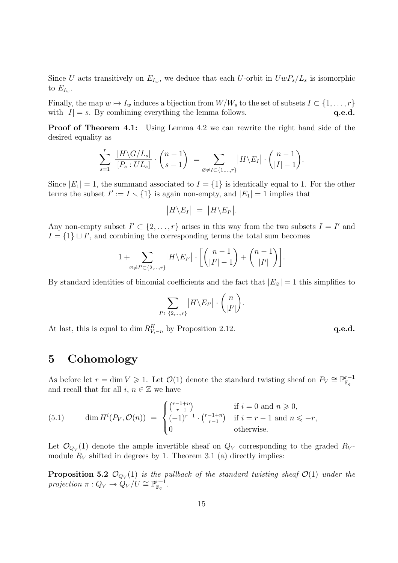Since U acts transitively on  $E_{I_w}$ , we deduce that each U-orbit in  $U_wP_s/L_s$  is isomorphic to  $E_{I_w}$ .

Finally, the map  $w \mapsto I_w$  induces a bijection from  $W/W_s$  to the set of subsets  $I \subset \{1, \ldots, r\}$ with  $|I| = s$ . By combining everything the lemma follows.  $q.e.d.$ 

Proof of Theorem 4.1: Using Lemma 4.2 we can rewrite the right hand side of the desired equality as

$$
\sum_{s=1}^r \frac{|H \backslash G/L_s|}{[P_s:UL_s]} \cdot \binom{n-1}{s-1} = \sum_{\varnothing \neq I \subset \{1,\dots,r\}} |H \backslash E_I| \cdot \binom{n-1}{|I|-1}.
$$

Since  $|E_1|=1$ , the summand associated to  $I=\{1\}$  is identically equal to 1. For the other terms the subset  $I' := I \setminus \{1\}$  is again non-empty, and  $|E_1| = 1$  implies that

$$
|H \backslash E_I| = |H \backslash E_{I'}|.
$$

Any non-empty subset  $I' \subset \{2, \ldots, r\}$  arises in this way from the two subsets  $I = I'$  and  $I = \{1\} \sqcup I'$ , and combining the corresponding terms the total sum becomes

$$
1 + \sum_{\varnothing \neq I' \subset \{2,\ldots,r\}} |H \backslash E_{I'}| \cdot \left[ \binom{n-1}{|I'|-1} + \binom{n-1}{|I'|} \right].
$$

By standard identities of binomial coefficients and the fact that  $|E_{\varnothing}| = 1$  this simplifies to

$$
\sum_{I'\subset\{2,\ldots,r\}}\left|H\backslash E_{I'}\right|\cdot\binom{n}{|I'|}.
$$

At last, this is equal to dim  $R_{V,-n}^H$  by Proposition 2.12. **q.e.d.** 

### 5 Cohomology

As before let  $r = \dim V \geq 1$ . Let  $\mathcal{O}(1)$  denote the standard twisting sheaf on  $P_V \cong \mathbb{P}_{\mathbb{F}_q}^{r-1}$  $\mathbb{F}_q$ and recall that for all  $i, n \in \mathbb{Z}$  we have

(5.1) 
$$
\dim H^{i}(P_{V}, \mathcal{O}(n)) = \begin{cases} {r-1+n \choose r-1} & \text{if } i = 0 \text{ and } n \geq 0, \\ (-1)^{r-1} \cdot {r-1+n \choose r-1} & \text{if } i = r-1 \text{ and } n \leq -r, \\ 0 & \text{otherwise.} \end{cases}
$$

Let  $\mathcal{O}_{Q_V}(1)$  denote the ample invertible sheaf on  $Q_V$  corresponding to the graded  $R_V$ module  $R_V$  shifted in degrees by 1. Theorem 3.1 (a) directly implies:

**Proposition 5.2**  $\mathcal{O}_{Q_V}(1)$  is the pullback of the standard twisting sheaf  $\mathcal{O}(1)$  under the projection  $\pi: Q_V \twoheadrightarrow \overset{\leftrightarrow}{Q_V}/U \cong \mathbb{P}^{r-1}_{\mathbb{F}_q}$  $\frac{r-1}{\mathbb F_q}$  .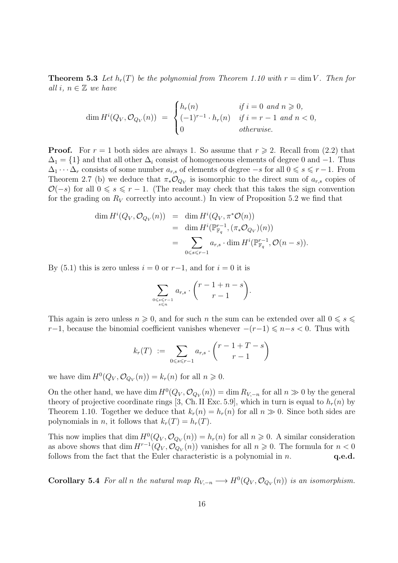**Theorem 5.3** Let  $h_r(T)$  be the polynomial from Theorem 1.10 with  $r = \dim V$ . Then for all i,  $n \in \mathbb{Z}$  we have

$$
\dim H^i(Q_V, \mathcal{O}_{Q_V}(n)) = \begin{cases} h_r(n) & \text{if } i = 0 \text{ and } n \geq 0, \\ (-1)^{r-1} \cdot h_r(n) & \text{if } i = r-1 \text{ and } n < 0, \\ 0 & \text{otherwise.} \end{cases}
$$

**Proof.** For  $r = 1$  both sides are always 1. So assume that  $r \ge 2$ . Recall from (2.2) that  $\Delta_1 = \{1\}$  and that all other  $\Delta_i$  consist of homogeneous elements of degree 0 and  $-1$ . Thus  $\Delta_1 \cdots \Delta_r$  consists of some number  $a_{r,s}$  of elements of degree  $-s$  for all  $0 \leq s \leq r-1$ . From Theorem 2.7 (b) we deduce that  $\pi_* \mathcal{O}_{Q_V}$  is isomorphic to the direct sum of  $a_{r,s}$  copies of  $\mathcal{O}(-s)$  for all  $0 \le s \le r - 1$ . (The reader may check that this takes the sign convention for the grading on  $R_V$  correctly into account.) In view of Proposition 5.2 we find that

$$
\dim H^{i}(Q_V, \mathcal{O}_{Q_V}(n)) = \dim H^{i}(Q_V, \pi^*\mathcal{O}(n))
$$
  
= 
$$
\dim H^{i}(\mathbb{P}_{\mathbb{F}_q}^{r-1}, (\pi_*\mathcal{O}_{Q_V})(n))
$$
  
= 
$$
\sum_{0 \le s \le r-1} a_{r,s} \cdot \dim H^{i}(\mathbb{P}_{\mathbb{F}_q}^{r-1}, \mathcal{O}(n-s)).
$$

By (5.1) this is zero unless  $i = 0$  or  $r-1$ , and for  $i = 0$  it is

$$
\sum_{0 \le s \le r-1 \atop s \le n} a_{r,s} \cdot {r-1+n-s \choose r-1}.
$$

This again is zero unless  $n \geq 0$ , and for such n the sum can be extended over all  $0 \leq s \leq$ r−1, because the binomial coefficient vanishes whenever  $-(r-1) \leq n-s < 0$ . Thus with

$$
k_r(T) := \sum_{0 \le s \le r-1} a_{r,s} \cdot \binom{r-1+T-s}{r-1}
$$

we have dim  $H^0(Q_V, \mathcal{O}_{Q_V}(n)) = k_r(n)$  for all  $n \geq 0$ .

On the other hand, we have dim  $H^0(Q_V, \mathcal{O}_{Q_V}(n)) = \dim R_{V, -n}$  for all  $n \gg 0$  by the general theory of projective coordinate rings [3, Ch. II Exc. 5.9], which in turn is equal to  $h_r(n)$  by Theorem 1.10. Together we deduce that  $k_r(n) = h_r(n)$  for all  $n \gg 0$ . Since both sides are polynomials in *n*, it follows that  $k_r(T) = h_r(T)$ .

This now implies that dim  $H^0(Q_V, \mathcal{O}_{Q_V}(n)) = h_r(n)$  for all  $n \geq 0$ . A similar consideration as above shows that  $\dim H^{r-1}(Q_V, \mathcal{O}_{Q_V}(n))$  vanishes for all  $n \geq 0$ . The formula for  $n < 0$ follows from the fact that the Euler characteristic is a polynomial in  $n$ .  $q.e.d.$ 

**Corollary 5.4** For all n the natural map  $R_{V,-n} \longrightarrow H^0(Q_V, \mathcal{O}_{Q_V}(n))$  is an isomorphism.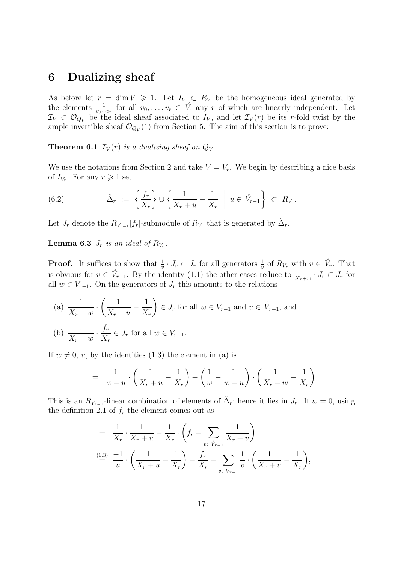### 6 Dualizing sheaf

As before let  $r = \dim V \ge 1$ . Let  $I_V \subset R_V$  be the homogeneous ideal generated by the elements  $\frac{1}{v_0\cdots v_r}$  for all  $v_0, \ldots, v_r \in V$ , any r of which are linearly independent. Let  $\mathcal{I}_V \subset \mathcal{O}_{Q_V}$  be the ideal sheaf associated to  $I_V$ , and let  $\mathcal{I}_V(r)$  be its r-fold twist by the ample invertible sheaf  $\mathcal{O}_{Q_V}(1)$  from Section 5. The aim of this section is to prove:

**Theorem 6.1**  $\mathcal{I}_V(r)$  is a dualizing sheaf on  $Q_V$ .

We use the notations from Section 2 and take  $V = V_r$ . We begin by describing a nice basis of  $I_{V_r}$ . For any  $r \geq 1$  set

(6.2) 
$$
\hat{\Delta}_r := \left\{ \frac{f_r}{X_r} \right\} \cup \left\{ \frac{1}{X_r + u} - \frac{1}{X_r} \middle| u \in \mathring{V}_{r-1} \right\} \subset R_{V_r}.
$$

Let  $J_r$  denote the  $R_{V_{r-1}}[f_r]$ -submodule of  $R_{V_r}$  that is generated by  $\hat{\Delta}_r$ .

**Lemma 6.3**  $J_r$  is an ideal of  $R_{V_r}$ .

**Proof.** It suffices to show that  $\frac{1}{v} \cdot J_r \subset J_r$  for all generators  $\frac{1}{v}$  of  $R_{V_r}$  with  $v \in V_r$ . That is obvious for  $v \in V_{r-1}$ . By the identity (1.1) the other cases reduce to  $\frac{1}{X_r+w} \cdot J_r \subset J_r$  for all  $w \in V_{r-1}$ . On the generators of  $J_r$  this amounts to the relations

(a) 
$$
\frac{1}{X_r + w} \cdot \left(\frac{1}{X_r + u} - \frac{1}{X_r}\right) \in J_r
$$
 for all  $w \in V_{r-1}$  and  $u \in V_{r-1}$ , and  
\n(b)  $\frac{1}{X_r + w} \cdot \frac{f_r}{X_r} \in J_r$  for all  $w \in V_{r-1}$ .

If  $w \neq 0$ ,  $u$ , by the identities (1.3) the element in (a) is

$$
= \frac{1}{w-u} \cdot \left(\frac{1}{X_r+u} - \frac{1}{X_r}\right) + \left(\frac{1}{w} - \frac{1}{w-u}\right) \cdot \left(\frac{1}{X_r+u} - \frac{1}{X_r}\right).
$$

This is an  $R_{V_{r-1}}$ -linear combination of elements of  $\hat{\Delta}_r$ ; hence it lies in  $J_r$ . If  $w=0$ , using the definition 2.1 of  $f_r$  the element comes out as

$$
= \frac{1}{X_r} \cdot \frac{1}{X_r + u} - \frac{1}{X_r} \cdot \left( f_r - \sum_{v \in \hat{V}_{r-1}} \frac{1}{X_r + v} \right)
$$
  

$$
\stackrel{\text{(1.3)}}{=} \frac{-1}{u} \cdot \left( \frac{1}{X_r + u} - \frac{1}{X_r} \right) - \frac{f_r}{X_r} - \sum_{v \in \hat{V}_{r-1}} \frac{1}{v} \cdot \left( \frac{1}{X_r + v} - \frac{1}{X_r} \right),
$$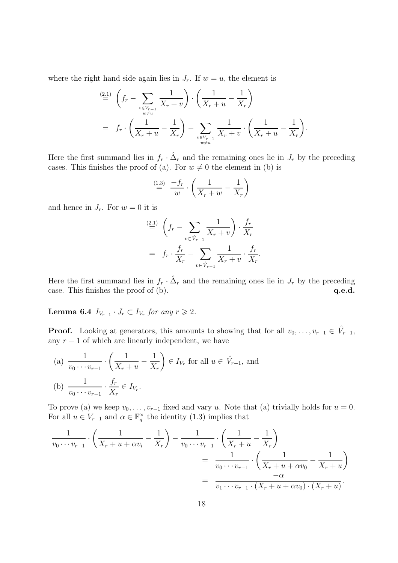where the right hand side again lies in  $J_r$ . If  $w = u$ , the element is

$$
\stackrel{(2.1)}{=} \left( f_r - \sum_{\substack{v \in V_{r-1} \\ w \neq u}} \frac{1}{X_r + v} \right) \cdot \left( \frac{1}{X_r + u} - \frac{1}{X_r} \right)
$$
\n
$$
= f_r \cdot \left( \frac{1}{X_r + u} - \frac{1}{X_r} \right) - \sum_{\substack{v \in V_{r-1} \\ w \neq u}} \frac{1}{X_r + v} \cdot \left( \frac{1}{X_r + u} - \frac{1}{X_r} \right).
$$

Here the first summand lies in  $f_r \cdot \hat{\Delta}_r$  and the remaining ones lie in  $J_r$  by the preceding cases. This finishes the proof of (a). For  $w \neq 0$  the element in (b) is

$$
\stackrel{(1.3)}{=} \frac{-f_r}{w} \cdot \left(\frac{1}{X_r + w} - \frac{1}{X_r}\right)
$$

and hence in  $J_r$ . For  $w = 0$  it is

$$
\stackrel{(2.1)}{=} \left( f_r - \sum_{v \in \mathring{V}_{r-1}} \frac{1}{X_r + v} \right) \cdot \frac{f_r}{X_r}
$$
\n
$$
= f_r \cdot \frac{f_r}{X_r} - \sum_{v \in \mathring{V}_{r-1}} \frac{1}{X_r + v} \cdot \frac{f_r}{X_r}.
$$

Here the first summand lies in  $f_r \cdot \hat{\Delta}_r$  and the remaining ones lie in  $J_r$  by the preceding case. This finishes the proof of (b).  $q.e.d.$ 

Lemma 6.4  $I_{V_{r-1}} \cdot J_r \subset I_{V_r}$  for any  $r \geq 2$ .

**Proof.** Looking at generators, this amounts to showing that for all  $v_0, \ldots, v_{r-1} \in V_{r-1}$ , any  $r - 1$  of which are linearly independent, we have

(a) 
$$
\frac{1}{v_0 \cdots v_{r-1}} \cdot \left(\frac{1}{X_r + u} - \frac{1}{X_r}\right) \in I_{V_r}
$$
 for all  $u \in V_{r-1}$ , and  
\n(b)  $\frac{1}{v_0 \cdots v_{r-1}} \cdot \frac{f_r}{X_r} \in I_{V_r}$ .

To prove (a) we keep  $v_0, \ldots, v_{r-1}$  fixed and vary u. Note that (a) trivially holds for  $u = 0$ . For all  $u \in V_{r-1}$  and  $\alpha \in \mathbb{F}_q^{\times}$  the identity (1.3) implies that

$$
\frac{1}{v_0 \cdots v_{r-1}} \cdot \left(\frac{1}{X_r + u + \alpha v_i} - \frac{1}{X_r}\right) - \frac{1}{v_0 \cdots v_{r-1}} \cdot \left(\frac{1}{X_r + u} - \frac{1}{X_r}\right) \\
= \frac{1}{v_0 \cdots v_{r-1}} \cdot \left(\frac{1}{X_r + u + \alpha v_0} - \frac{1}{X_r + u}\right) \\
= \frac{-\alpha}{v_1 \cdots v_{r-1} \cdot (X_r + u + \alpha v_0) \cdot (X_r + u)}.
$$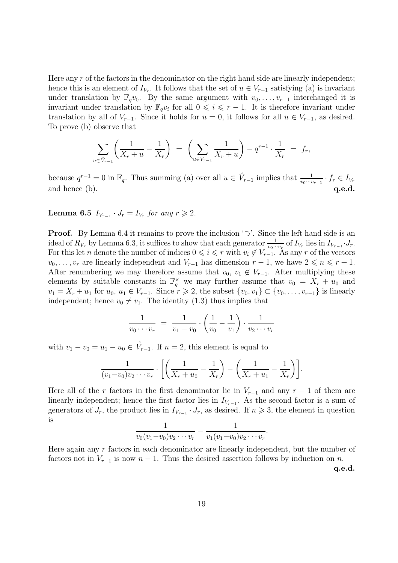Here any r of the factors in the denominator on the right hand side are linearly independent; hence this is an element of  $I_{V_r}$ . It follows that the set of  $u \in V_{r-1}$  satisfying (a) is invariant under translation by  $\mathbb{F}_q v_0$ . By the same argument with  $v_0, \ldots, v_{r-1}$  interchanged it is invariant under translation by  $\mathbb{F}_q v_i$  for all  $0 \leq i \leq r-1$ . It is therefore invariant under translation by all of  $V_{r-1}$ . Since it holds for  $u = 0$ , it follows for all  $u \in V_{r-1}$ , as desired. To prove (b) observe that

$$
\sum_{u \in \hat{V}_{r-1}} \left( \frac{1}{X_r + u} - \frac{1}{X_r} \right) \ = \ \left( \sum_{u \in V_{r-1}} \frac{1}{X_r + u} \right) - q^{r-1} \cdot \frac{1}{X_r} \ = \ f_r,
$$

because  $q^{r-1} = 0$  in  $\mathbb{F}_q$ . Thus summing (a) over all  $u \in V_{r-1}$  implies that  $\frac{1}{v_0 \cdots v_{r-1}} \cdot f_r \in I_{V_r}$ and hence  $(b)$ .  $q.e.d.$ 

Lemma 6.5  $I_{V_{r-1}} \cdot J_r = I_{V_r}$  for any  $r \geq 2$ .

Proof. By Lemma 6.4 it remains to prove the inclusion '⊃'. Since the left hand side is an ideal of  $R_{V_r}$  by Lemma 6.3, it suffices to show that each generator  $\frac{1}{v_0 \cdots v_r}$  of  $I_{V_r}$  lies in  $I_{V_{r-1}} \cdot J_r$ . For this let n denote the number of indices  $0 \leq i \leq r$  with  $v_i \notin V_{r-1}$ . As any r of the vectors  $v_0, \ldots, v_r$  are linearly independent and  $V_{r-1}$  has dimension  $r-1$ , we have  $2 \leq n \leq r+1$ . After renumbering we may therefore assume that  $v_0, v_1 \notin V_{r-1}$ . After multiplying these elements by suitable constants in  $\mathbb{F}_q^{\times}$  we may further assume that  $v_0 = X_r + u_0$  and  $v_1 = X_r + u_1$  for  $u_0, u_1 \in V_{r-1}$ . Since  $r \ge 2$ , the subset  $\{v_0, v_1\} \subset \{v_0, \ldots, v_{r-1}\}$  is linearly independent; hence  $v_0 \neq v_1$ . The identity (1.3) thus implies that

$$
\frac{1}{v_0 \cdots v_r} = \frac{1}{v_1 - v_0} \cdot \left(\frac{1}{v_0} - \frac{1}{v_1}\right) \cdot \frac{1}{v_2 \cdots v_r}
$$

with  $v_1 - v_0 = u_1 - u_0 \in V_{r-1}$ . If  $n = 2$ , this element is equal to

$$
\frac{1}{(v_1-v_0)v_2\cdots v_r} \cdot \left[ \left( \frac{1}{X_r+u_0} - \frac{1}{X_r} \right) - \left( \frac{1}{X_r+u_1} - \frac{1}{X_r} \right) \right].
$$

Here all of the r factors in the first denominator lie in  $V_{r-1}$  and any  $r-1$  of them are linearly independent; hence the first factor lies in  $I_{V_{r-1}}$ . As the second factor is a sum of generators of  $J_r$ , the product lies in  $I_{V_{r-1}} \cdot J_r$ , as desired. If  $n \geq 3$ , the element in question is

$$
\frac{1}{v_0(v_1-v_0)v_2\cdots v_r}-\frac{1}{v_1(v_1-v_0)v_2\cdots v_r}.
$$

Here again any  $r$  factors in each denominator are linearly independent, but the number of factors not in  $V_{r-1}$  is now  $n-1$ . Thus the desired assertion follows by induction on n.

q.e.d.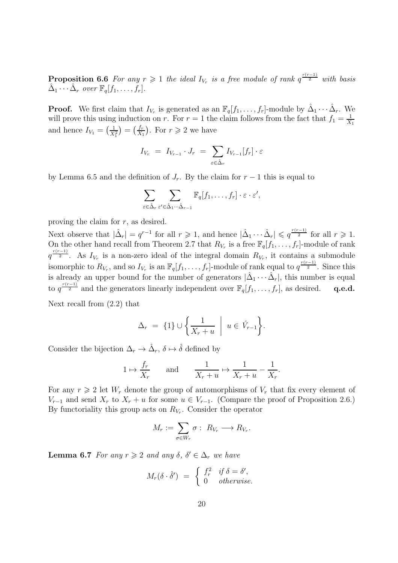**Proposition 6.6** For any  $r \geq 1$  the ideal  $I_{V_r}$  is a free module of rank  $q^{\frac{r(r-1)}{2}}$  with basis  $\hat{\Delta}_1 \cdots \hat{\Delta}_r$  over  $\mathbb{F}_q[f_1, \ldots, f_r].$ 

**Proof.** We first claim that  $I_{V_r}$  is generated as an  $\mathbb{F}_q[f_1,\ldots,f_r]$ -module by  $\hat{\Delta}_1\cdots\hat{\Delta}_r$ . We will prove this using induction on r. For  $r = 1$  the claim follows from the fact that  $f_1 = \frac{1}{X}$  $X_1$ and hence  $I_{V_1} = \left(\frac{1}{X_1^2}\right) = \left(\frac{f_r}{X_1}\right)$  $\frac{f_r}{X_1}$ ). For  $r \geqslant 2$  we have

$$
I_{V_r} = I_{V_{r-1}} \cdot J_r = \sum_{\varepsilon \in \hat{\Delta}_r} I_{V_{r-1}}[f_r] \cdot \varepsilon
$$

by Lemma 6.5 and the definition of  $J_r$ . By the claim for  $r-1$  this is equal to

$$
\sum_{\varepsilon \in \hat{\Delta}_r} \sum_{\varepsilon' \in \hat{\Delta}_1 \cdots \hat{\Delta}_{r-1}} \mathbb{F}_q[f_1, \ldots, f_r] \cdot \varepsilon \cdot \varepsilon',
$$

proving the claim for  $r$ , as desired.

Next observe that  $|\hat{\Delta}_r| = q^{r-1}$  for all  $r \geq 1$ , and hence  $|\hat{\Delta}_1 \cdots \hat{\Delta}_r| \leqslant q^{\frac{r(r-1)}{2}}$  for all  $r \geqslant 1$ . On the other hand recall from Theorem 2.7 that  $R_{V_r}$  is a free  $\mathbb{F}_q[f_1,\ldots,f_r]$ -module of rank  $q^{\frac{r(r-1)}{2}}$ . As  $I_{V_r}$  is a non-zero ideal of the integral domain  $R_{V_r}$ , it contains a submodule isomorphic to  $R_{V_r}$ , and so  $I_{V_r}$  is an  $\mathbb{F}_q[f_1,\ldots,f_r]$ -module of rank equal to  $q^{\frac{r(r-1)}{2}}$ . Since this is already an upper bound for the number of generators  $|\hat{\Delta}_1 \cdots \hat{\Delta}_r|$ , this number is equal to  $q^{\frac{r(r-1)}{2}}$  and the generators linearly independent over  $\mathbb{F}_q[f_1,\ldots,f_r]$ , as desired. q.e.d. Next recall from (2.2) that

$$
ext1111111 (2.2) 01140
$$

$$
\Delta_r = \{1\} \cup \left\{ \frac{1}{X_r + u} \middle| u \in \mathring{V}_{r-1} \right\}.
$$

Consider the bijection  $\Delta_r \to \hat{\Delta}_r$ ,  $\delta \mapsto \hat{\delta}$  defined by

$$
1 \mapsto \frac{f_r}{X_r}
$$
 and  $\frac{1}{X_r + u} \mapsto \frac{1}{X_r + u} - \frac{1}{X_r}.$ 

For any  $r \geq 2$  let  $W_r$  denote the group of automorphisms of  $V_r$  that fix every element of  $V_{r-1}$  and send  $X_r$  to  $X_r + u$  for some  $u \in V_{r-1}$ . (Compare the proof of Proposition 2.6.) By functoriality this group acts on  $R_{V_r}$ . Consider the operator

$$
M_r := \sum_{\sigma \in W_r} \sigma : R_{V_r} \longrightarrow R_{V_r}.
$$

**Lemma 6.7** For any  $r \geq 2$  and any  $\delta, \delta' \in \Delta_r$  we have

$$
M_r(\delta \cdot \hat{\delta}') = \begin{cases} f_r^2 & \text{if } \delta = \delta', \\ 0 & \text{otherwise.} \end{cases}
$$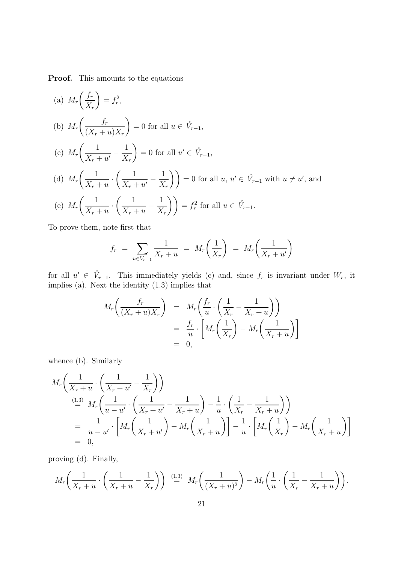Proof. This amounts to the equations

(a) 
$$
M_r\left(\frac{f_r}{X_r}\right) = f_r^2
$$
,  
\n(b)  $M_r\left(\frac{f_r}{(X_r+u)X_r}\right) = 0$  for all  $u \in \mathring{V}_{r-1}$ ,  
\n(c)  $M_r\left(\frac{1}{X_r+u'}-\frac{1}{X_r}\right) = 0$  for all  $u' \in \mathring{V}_{r-1}$ ,  
\n(d)  $M_r\left(\frac{1}{X_r+u} \cdot \left(\frac{1}{X_r+u'}-\frac{1}{X_r}\right)\right) = 0$  for all  $u, u' \in \mathring{V}_{r-1}$  with  $u \neq u'$ , and  
\n(e)  $M_r\left(\frac{1}{X_r+u} \cdot \left(\frac{1}{X_r+u}-\frac{1}{X_r}\right)\right) = f_r^2$  for all  $u \in \mathring{V}_{r-1}$ .

To prove them, note first that

$$
f_r = \sum_{u \in V_{r-1}} \frac{1}{X_r + u} = M_r \left( \frac{1}{X_r} \right) = M_r \left( \frac{1}{X_r + u'} \right)
$$

for all  $u' \in V_{r-1}$ . This immediately yields (c) and, since  $f_r$  is invariant under  $W_r$ , it implies (a). Next the identity (1.3) implies that

$$
M_r\left(\frac{f_r}{(X_r+u)X_r}\right) = M_r\left(\frac{f_r}{u}\cdot\left(\frac{1}{X_r}-\frac{1}{X_r+u}\right)\right)
$$
  
= 
$$
\frac{f_r}{u}\cdot\left[M_r\left(\frac{1}{X_r}\right)-M_r\left(\frac{1}{X_r+u}\right)\right]
$$
  
= 0,

whence (b). Similarly

$$
M_r\left(\frac{1}{X_r+u}\cdot\left(\frac{1}{X_r+u'}-\frac{1}{X_r}\right)\right)
$$
  
\n
$$
\stackrel{\text{(1.3)}}{=} M_r\left(\frac{1}{u-u'}\cdot\left(\frac{1}{X_r+u'}-\frac{1}{X_r+u}\right)-\frac{1}{u}\cdot\left(\frac{1}{X_r}-\frac{1}{X_r+u}\right)\right)
$$
  
\n
$$
=\frac{1}{u-u'}\cdot\left[M_r\left(\frac{1}{X_r+u'}\right)-M_r\left(\frac{1}{X_r+u}\right)\right]-\frac{1}{u}\cdot\left[M_r\left(\frac{1}{X_r}\right)-M_r\left(\frac{1}{X_r+u}\right)\right]
$$
  
\n
$$
= 0,
$$

proving (d). Finally,

$$
M_r\left(\frac{1}{X_r+u}\cdot\left(\frac{1}{X_r+u}-\frac{1}{X_r}\right)\right) \stackrel{(1.3)}{=} M_r\left(\frac{1}{(X_r+u)^2}\right) - M_r\left(\frac{1}{u}\cdot\left(\frac{1}{X_r}-\frac{1}{X_r+u}\right)\right).
$$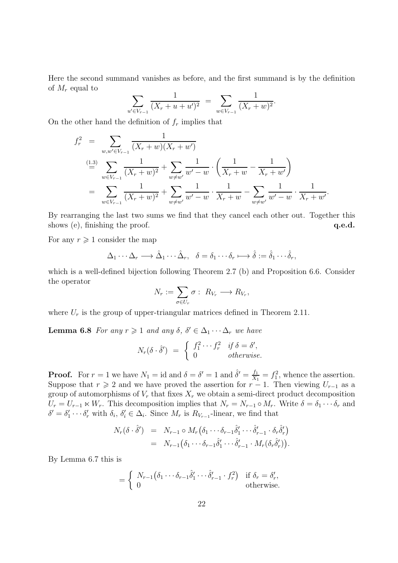Here the second summand vanishes as before, and the first summand is by the definition of  $M_r$  equal to

$$
\sum_{u' \in V_{r-1}} \frac{1}{(X_r + u + u')^2} = \sum_{w \in V_{r-1}} \frac{1}{(X_r + w)^2}.
$$

On the other hand the definition of  $f_r$  implies that

$$
f_r^2 = \sum_{w,w' \in V_{r-1}} \frac{1}{(X_r + w)(X_r + w')}
$$
  
\n
$$
\stackrel{\text{(1.3)}}{=} \sum_{w \in V_{r-1}} \frac{1}{(X_r + w)^2} + \sum_{w \neq w'} \frac{1}{w' - w} \cdot \left(\frac{1}{X_r + w} - \frac{1}{X_r + w'}\right)
$$
  
\n
$$
= \sum_{w \in V_{r-1}} \frac{1}{(X_r + w)^2} + \sum_{w \neq w'} \frac{1}{w' - w} \cdot \frac{1}{X_r + w} - \sum_{w \neq w'} \frac{1}{w' - w} \cdot \frac{1}{X_r + w'}
$$

.

By rearranging the last two sums we find that they cancel each other out. Together this shows (e), finishing the proof.  $q.e.d.$ 

For any  $r \geqslant 1$  consider the map

$$
\Delta_1 \cdots \Delta_r \longrightarrow \hat{\Delta}_1 \cdots \hat{\Delta}_r, \quad \delta = \delta_1 \cdots \delta_r \longmapsto \hat{\delta} := \hat{\delta}_1 \cdots \hat{\delta}_r,
$$

which is a well-defined bijection following Theorem 2.7 (b) and Proposition 6.6. Consider the operator

$$
N_r := \sum_{\sigma \in U_r} \sigma : R_{V_r} \longrightarrow R_{V_r},
$$

where  $U_r$  is the group of upper-triangular matrices defined in Theorem 2.11.

**Lemma 6.8** For any  $r \geq 1$  and any  $\delta, \delta' \in \Delta_1 \cdots \Delta_r$  we have

$$
N_r(\delta \cdot \hat{\delta}') = \begin{cases} f_1^2 \cdots f_r^2 & \text{if } \delta = \delta', \\ 0 & \text{otherwise.} \end{cases}
$$

**Proof.** For  $r = 1$  we have  $N_1 = id$  and  $\delta = \delta' = 1$  and  $\hat{\delta}' = \frac{f_1}{X_1}$  $\frac{f_1}{X_1} = f_1^2$ , whence the assertion. Suppose that  $r \geq 2$  and we have proved the assertion for  $r-1$ . Then viewing  $U_{r-1}$  as a group of automorphisms of  $V_r$  that fixes  $X_r$  we obtain a semi-direct product decomposition  $U_r = U_{r-1} \ltimes W_r$ . This decomposition implies that  $N_r = N_{r-1} \circ M_r$ . Write  $\delta = \delta_1 \cdots \delta_r$  and  $\delta' = \delta'_1 \cdots \delta'_r$  with  $\delta_i$ ,  $\delta'_i \in \Delta_i$ . Since  $M_r$  is  $R_{V_{r-1}}$ -linear, we find that

$$
N_r(\delta \cdot \hat{\delta}') = N_{r-1} \circ M_r(\delta_1 \cdots \delta_{r-1} \hat{\delta}'_1 \cdots \hat{\delta}'_{r-1} \cdot \delta_r \hat{\delta}'_r)
$$
  
= 
$$
N_{r-1}(\delta_1 \cdots \delta_{r-1} \hat{\delta}'_1 \cdots \hat{\delta}'_{r-1} \cdot M_r(\delta_r \hat{\delta}'_r)).
$$

By Lemma 6.7 this is

$$
= \begin{cases} N_{r-1}(\delta_1 \cdots \delta_{r-1} \hat{\delta}'_1 \cdots \hat{\delta}'_{r-1} \cdot f_r^2) & \text{if } \delta_r = \delta'_r, \\ 0 & \text{otherwise.} \end{cases}
$$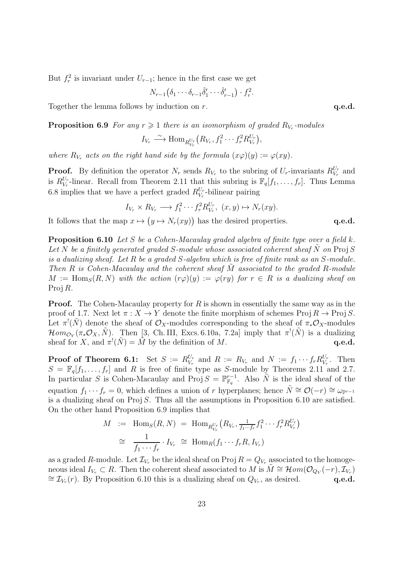But  $f_r^2$  is invariant under  $U_{r-1}$ ; hence in the first case we get

$$
N_{r-1}(\delta_1\cdots\delta_{r-1}\hat{\delta}'_1\cdots\hat{\delta}'_{r-1})\cdot f_r^2.
$$

Together the lemma follows by induction on  $r$ .  $q.e.d.$ 

**Proposition 6.9** For any  $r \geq 1$  there is an isomorphism of graded  $R_{V_r}$ -modules

$$
I_{V_r} \stackrel{\sim}{\longrightarrow} \text{Hom}_{R_{V_r}^{U_r}}(R_{V_r}, f_1^2 \cdots f_r^2 R_{V_r}^{U_r}),
$$

where  $R_{V_r}$  acts on the right hand side by the formula  $(x\varphi)(y) := \varphi(xy)$ .

**Proof.** By definition the operator  $N_r$  sends  $R_{V_r}$  to the subring of  $U_r$ -invariants  $R_{V_r}^{U_r}$  $V_r^{U_r}$  and is  $R_{V_r}^{U_r}$  $V_r$ -linear. Recall from Theorem 2.11 that this subring is  $\mathbb{F}_q[f_1,\ldots,f_r]$ . Thus Lemma 6.8 implies that we have a perfect graded  $R_{V_r}^{U_r}$  $V_r^{\nu_r}$ -bilinear pairing

$$
I_{V_r} \times R_{V_r} \longrightarrow f_1^2 \cdots f_r^2 R_{V_r}^{U_r}, (x, y) \mapsto N_r(xy).
$$

It follows that the map  $x \mapsto (y \mapsto N_r(xy))$  has the desired properties.  $q.e.d.$ 

**Proposition 6.10** Let S be a Cohen-Macaulay graded algebra of finite type over a field k. Let N be a finitely generated graded S-module whose associated coherent sheaf N on Proj S is a dualizing sheaf. Let R be a graded S-algebra which is free of finite rank as an S-module. Then  $R$  is Cohen-Macaulay and the coherent sheaf  $M$  associated to the graded  $R$ -module  $M := \text{Hom}_S(R, N)$  with the action  $(r\varphi)(y) := \varphi(ry)$  for  $r \in R$  is a dualizing sheaf on Proj R.

**Proof.** The Cohen-Macaulay property for R is shown in essentially the same way as in the proof of 1.7. Next let  $\pi: X \to Y$  denote the finite morphism of schemes Proj  $R \to \text{Proj } S$ . Let  $\pi^!(\tilde{N})$  denote the sheaf of  $\mathcal{O}_X$ -modules corresponding to the sheaf of  $\pi_*\mathcal{O}_X$ -modules  $\mathcal{H}\mathit{om}_{\mathcal{O}_Y}(\pi_*\mathcal{O}_X,\tilde{N})$ . Then [3, Ch. III, Excs. 6.10a, 7.2a] imply that  $\pi^!(\tilde{N})$  is a dualizing sheaf for X, and  $\pi^!(\tilde{N}) = \tilde{M}$  by the definition of M. q.e.d.

**Proof of Theorem 6.1:** Set  $S := R_{V_r}^{U_r}$  $V_r^{U_r}$  and  $R := R_{V_r}$  and  $N := f_1 \cdots f_r R_{V_r}^{U_r}$  $V_r^{\nu_r}$ . Then  $S = \mathbb{F}_q[f_1,\ldots,f_r]$  and R is free of finite type as S-module by Theorems 2.11 and 2.7. In particular S is Cohen-Macaulay and Proj  $S = \mathbb{P}_{\mathbb{F}_q}^{r-1}$  $\bar{F}_q^{r-1}$ . Also  $\tilde{N}$  is the ideal sheaf of the equation  $f_1 \cdots f_r = 0$ , which defines a union of r hyperplanes; hence  $\tilde{N} \cong \mathcal{O}(-r) \cong \omega_{\mathbb{P}^{r-1}}$ is a dualizing sheaf on  $Proj S$ . Thus all the assumptions in Proposition 6.10 are satisfied. On the other hand Proposition 6.9 implies that

$$
M := \text{Hom}_S(R, N) = \text{Hom}_{R_{V_r}^{U_r}}(R_{V_r}, \frac{1}{f_1 \cdots f_r} f_1^2 \cdots f_r^2 R_{V_r}^{U_r})
$$
  

$$
\cong \frac{1}{f_1 \cdots f_r} \cdot I_{V_r} \cong \text{Hom}_R(f_1 \cdots f_r R, I_{V_r})
$$

as a graded R-module. Let  $\mathcal{I}_{V_r}$  be the ideal sheaf on Proj  $R = Q_{V_r}$  associated to the homogeneous ideal  $I_{V_r} \subset R$ . Then the coherent sheaf associated to M is  $\tilde{M} \cong \mathcal{H}om(\mathcal{O}_{Q_V}(-r), \mathcal{I}_{V_r})$ ≅  $\mathcal{I}_{V_r}(r)$ . By Proposition 6.10 this is a dualizing sheaf on  $Q_{V_r}$ , as desired. q.e.d.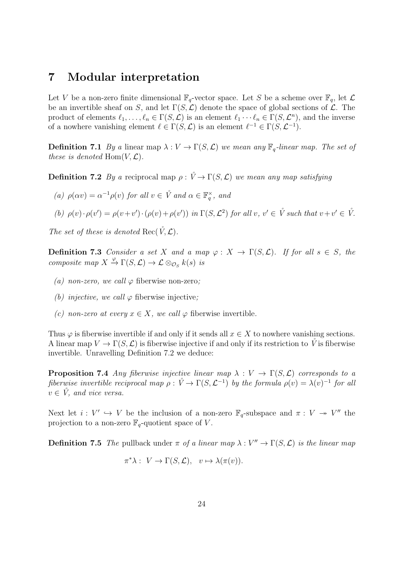### 7 Modular interpretation

Let V be a non-zero finite dimensional  $\mathbb{F}_q$ -vector space. Let S be a scheme over  $\mathbb{F}_q$ , let  $\mathcal L$ be an invertible sheaf on S, and let  $\Gamma(S, \mathcal{L})$  denote the space of global sections of  $\mathcal{L}$ . The product of elements  $\ell_1, \ldots, \ell_n \in \Gamma(S, \mathcal{L})$  is an element  $\ell_1 \cdots \ell_n \in \Gamma(S, \mathcal{L}^n)$ , and the inverse of a nowhere vanishing element  $\ell \in \Gamma(S, \mathcal{L})$  is an element  $\ell^{-1} \in \Gamma(S, \mathcal{L}^{-1})$ .

**Definition 7.1** By a linear map  $\lambda : V \to \Gamma(S, \mathcal{L})$  we mean any  $\mathbb{F}_q$ -linear map. The set of these is denoted  $\text{Hom}(V, \mathcal{L})$ .

**Definition 7.2** By a reciprocal map  $\rho : \mathring{V} \to \Gamma(S, \mathcal{L})$  we mean any map satisfying

(a)  $\rho(\alpha v) = \alpha^{-1} \rho(v)$  for all  $v \in \mathring{V}$  and  $\alpha \in \mathbb{F}_q^{\times}$ , and

(b)  $\rho(v) \cdot \rho(v') = \rho(v+v') \cdot (\rho(v)+\rho(v'))$  in  $\Gamma(S,\mathcal{L}^2)$  for all  $v, v' \in \mathring{V}$  such that  $v+v' \in \mathring{V}$ .

The set of these is denoted Rec( $\mathring{V}$ ,  $\mathcal{L}$ ).

**Definition 7.3** Consider a set X and a map  $\varphi: X \to \Gamma(S, \mathcal{L})$ . If for all  $s \in S$ , the composite map  $X \stackrel{\varphi}{\to} \Gamma(S, \mathcal{L}) \to \mathcal{L} \otimes_{\mathcal{O}_S} k(s)$  is

- (a) non-zero, we call  $\varphi$  fiberwise non-zero;
- (b) injective, we call  $\varphi$  fiberwise injective;
- (c) non-zero at every  $x \in X$ , we call  $\varphi$  fiberwise invertible.

Thus  $\varphi$  is fiberwise invertible if and only if it sends all  $x \in X$  to nowhere vanishing sections. A linear map  $V \to \Gamma(S, \mathcal{L})$  is fiberwise injective if and only if its restriction to V is fiberwise invertible. Unravelling Definition 7.2 we deduce:

**Proposition 7.4** Any fiberwise injective linear map  $\lambda : V \to \Gamma(S, \mathcal{L})$  corresponds to a fiberwise invertible reciprocal map  $\rho: \mathring{V} \to \Gamma(S, \mathcal{L}^{-1})$  by the formula  $\rho(v) = \lambda(v)^{-1}$  for all  $v \in V$ , and vice versa.

Next let  $i: V' \hookrightarrow V$  be the inclusion of a non-zero  $\mathbb{F}_q$ -subspace and  $\pi: V \twoheadrightarrow V''$  the projection to a non-zero  $\mathbb{F}_q$ -quotient space of V.

**Definition 7.5** The pullback under  $\pi$  of a linear map  $\lambda : V'' \to \Gamma(S, \mathcal{L})$  is the linear map

$$
\pi^*\lambda: V \to \Gamma(S, \mathcal{L}), \quad v \mapsto \lambda(\pi(v)).
$$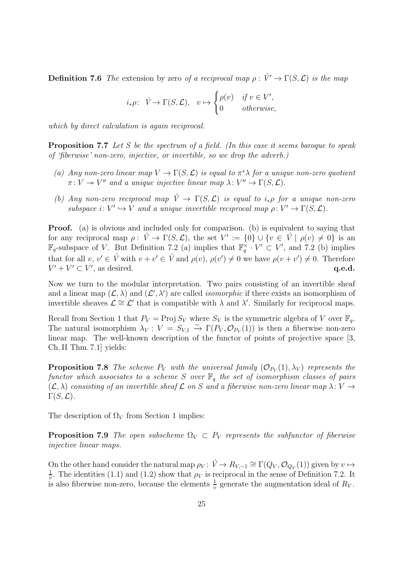**Definition 7.6** The extension by zero of a reciprocal map  $\rho: \mathring{V}' \to \Gamma(S, \mathcal{L})$  is the map

$$
i_*\rho\colon\ \mathring{V}\to \Gamma(S,\mathcal{L}),\ \ v\mapsto\begin{cases} \rho(v) & \text{if } v\in V',\\ 0 & \text{otherwise,} \end{cases}
$$

which by direct calculation is again reciprocal.

**Proposition 7.7** Let S be the spectrum of a field. (In this case it seems baroque to speak of 'fiberwise' non-zero, injective, or invertible, so we drop the adverb.)

- (a) Any non-zero linear map  $V \to \Gamma(S, \mathcal{L})$  is equal to  $\pi^* \lambda$  for a unique non-zero quotient  $\pi: V \to V''$  and a unique injective linear map  $\lambda: V'' \to \Gamma(S, \mathcal{L})$ .
- (b) Any non-zero reciprocal map  $\mathring{V} \to \Gamma(S, \mathcal{L})$  is equal to  $i_*\rho$  for a unique non-zero subspace  $i: V' \hookrightarrow V$  and a unique invertible reciprocal map  $\rho: V' \to \Gamma(S, \mathcal{L})$ .

Proof. (a) is obvious and included only for comparison. (b) is equivalent to saying that for any reciprocal map  $\rho: \mathring{V} \to \Gamma(S, \mathcal{L}),$  the set  $V' := \{0\} \cup \{v \in \mathring{V} \mid \rho(v) \neq 0\}$  is an  $\mathbb{F}_q$ -subspace of V. But Definition 7.2 (a) implies that  $\mathbb{F}_q^{\times} \cdot V' \subset V'$ , and 7.2 (b) implies that for all  $v, v' \in \mathring{V}$  with  $v + v' \in \mathring{V}$  and  $\rho(v), \rho(v') \neq 0$  we have  $\rho(v + v') \neq 0$ . Therefore  $V' + V' \subset V'$ , as desired.  $q.e.d.$ 

Now we turn to the modular interpretation. Two pairs consisting of an invertible sheaf and a linear map  $(L, \lambda)$  and  $(L', \lambda')$  are called *isomorphic* if there exists an isomorphism of invertible sheaves  $\mathcal{L} \cong \mathcal{L}'$  that is compatible with  $\lambda$  and  $\lambda'$ . Similarly for reciprocal maps.

Recall from Section 1 that  $P_V = \text{Proj } S_V$  where  $S_V$  is the symmetric algebra of V over  $\mathbb{F}_q$ . The natural isomorphism  $\lambda_V : V = S_{V,1} \stackrel{\sim}{\to} \Gamma(P_V, \mathcal{O}_{P_V}(1))$  is then a fiberwise non-zero linear map. The well-known description of the functor of points of projective space [3, Ch. II Thm. 7.1] yields:

**Proposition 7.8** The scheme  $P_V$  with the universal family  $(\mathcal{O}_{P_V}(1), \lambda_V)$  represents the functor which associates to a scheme S over  $\mathbb{F}_q$  the set of isomorphism classes of pairs  $(\mathcal{L}, \lambda)$  consisting of an invertible sheaf  $\mathcal L$  on S and a fiberwise non-zero linear map  $\lambda: V \to V$  $\Gamma(S, {\cal L}).$ 

The description of  $\Omega_V$  from Section 1 implies:

**Proposition 7.9** The open subscheme  $\Omega_V \subset P_V$  represents the subfunctor of fiberwise injective linear maps.

On the other hand consider the natural map  $\rho_V: \mathring{V} \to R_{V,-1} \cong \Gamma(Q_V, \mathcal{O}_{Q_V}(1))$  given by  $v \mapsto$ 1  $\frac{1}{v}$ . The identities (1.1) and (1.2) show that  $\rho_V$  is reciprocal in the sense of Definition 7.2. It is also fiberwise non-zero, because the elements  $\frac{1}{v}$  generate the augmentation ideal of  $R_V$ .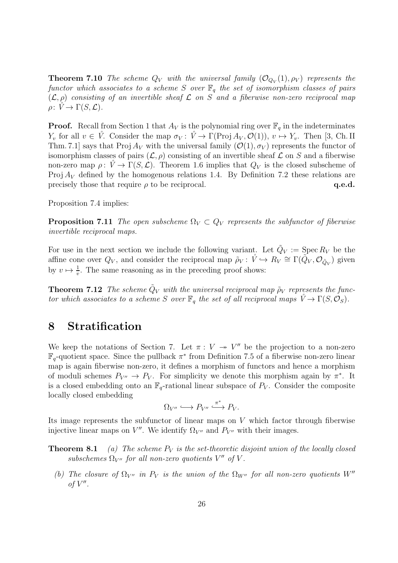**Theorem 7.10** The scheme  $Q_V$  with the universal family  $(\mathcal{O}_{Q_V}(1), \rho_V)$  represents the functor which associates to a scheme S over  $\mathbb{F}_q$  the set of isomorphism classes of pairs  $(\mathcal{L}, \rho)$  consisting of an invertible sheaf  $\mathcal L$  on S and a fiberwise non-zero reciprocal map  $\rho: \check{V} \to \Gamma(S, \mathcal{L}).$ 

**Proof.** Recall from Section 1 that  $A_V$  is the polynomial ring over  $\mathbb{F}_q$  in the indeterminates  $Y_v$  for all  $v \in V$ . Consider the map  $\sigma_V : V \to \Gamma(\text{Proj } A_V, \mathcal{O}(1)), v \mapsto Y_v$ . Then [3, Ch. II] Thm. 7.1] says that Proj  $A_V$  with the universal family  $(\mathcal{O}(1), \sigma_V)$  represents the functor of isomorphism classes of pairs  $(\mathcal{L}, \rho)$  consisting of an invertible sheaf  $\mathcal L$  on S and a fiberwise non-zero map  $\rho: \check{V} \to \Gamma(S, \mathcal{L})$ . Theorem 1.6 implies that  $Q_V$  is the closed subscheme of Proj  $A_V$  defined by the homogenous relations 1.4. By Definition 7.2 these relations are precisely those that require  $\rho$  to be reciprocal.  $q.e.d.$ 

Proposition 7.4 implies:

**Proposition 7.11** The open subscheme  $\Omega_V \subset Q_V$  represents the subfunctor of fiberwise invertible reciprocal maps.

For use in the next section we include the following variant. Let  $\tilde{Q}_V := \text{Spec } R_V$  be the affine cone over  $Q_V$ , and consider the reciprocal map  $\tilde{\rho}_V: \mathring{V} \hookrightarrow R_V \cong \Gamma(\tilde{Q}_V, \mathcal{O}_{\tilde{Q}_V})$  given by  $v \mapsto \frac{1}{v}$ . The same reasoning as in the preceding proof shows:

**Theorem 7.12** The scheme  $\tilde{Q}_V$  with the universal reciprocal map  $\tilde{\rho}_V$  represents the functor which associates to a scheme S over  $\mathbb{F}_q$  the set of all reciprocal maps  $\mathring{V} \to \Gamma(S, \mathcal{O}_S)$ .

# 8 Stratification

We keep the notations of Section 7. Let  $\pi: V \to V''$  be the projection to a non-zero  $\mathbb{F}_q$ -quotient space. Since the pullback  $\pi^*$  from Definition 7.5 of a fiberwise non-zero linear map is again fiberwise non-zero, it defines a morphism of functors and hence a morphism of moduli schemes  $P_{V''} \to P_V$ . For simplicity we denote this morphism again by  $\pi^*$ . It is a closed embedding onto an  $\mathbb{F}_q$ -rational linear subspace of  $P_V$ . Consider the composite locally closed embedding

$$
\Omega_{V''}\longleftrightarrow P_{V''}\stackrel{\pi^*}{\longrightarrow} P_V.
$$

Its image represents the subfunctor of linear maps on  $V$  which factor through fiberwise injective linear maps on  $V''$ . We identify  $\Omega_{V''}$  and  $P_{V''}$  with their images.

**Theorem 8.1** (a) The scheme  $P_V$  is the set-theoretic disjoint union of the locally closed subschemes  $\Omega_{V''}$  for all non-zero quotients  $V''$  of V.

(b) The closure of  $\Omega_{V''}$  in  $P_V$  is the union of the  $\Omega_{W''}$  for all non-zero quotients  $W''$ of  $V''$ .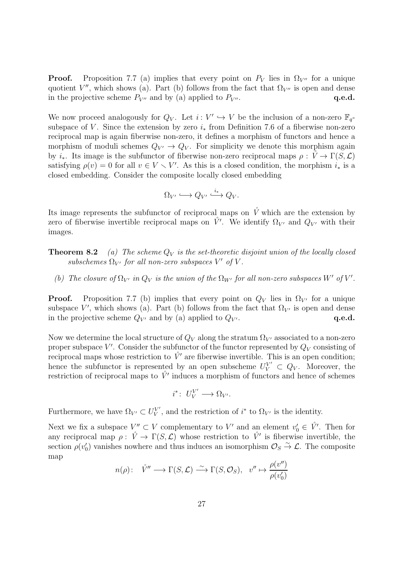**Proof.** Proposition 7.7 (a) implies that every point on  $P_V$  lies in  $\Omega_{V''}$  for a unique quotient  $V''$ , which shows (a). Part (b) follows from the fact that  $\Omega_{V''}$  is open and dense in the projective scheme  $P_{V''}$  and by (a) applied to  $P_{V''}$ .  $q.e.d.$ 

We now proceed analogously for  $Q_V$ . Let  $i: V' \hookrightarrow V$  be the inclusion of a non-zero  $\mathbb{F}_q$ subspace of V. Since the extension by zero  $i_*$  from Definition 7.6 of a fiberwise non-zero reciprocal map is again fiberwise non-zero, it defines a morphism of functors and hence a morphism of moduli schemes  $Q_{V'} \rightarrow Q_V$ . For simplicity we denote this morphism again by  $i_{*}$ . Its image is the subfunctor of fiberwise non-zero reciprocal maps  $\rho: V \to \Gamma(S, \mathcal{L})$ satisfying  $\rho(v) = 0$  for all  $v \in V \setminus V'$ . As this is a closed condition, the morphism  $i_*$  is a closed embedding. Consider the composite locally closed embedding

$$
\Omega_{V'} \longleftrightarrow Q_{V'} \xrightarrow{i_*} Q_V.
$$

Its image represents the subfunctor of reciprocal maps on  $\check{V}$  which are the extension by zero of fiberwise invertible reciprocal maps on  $\mathring{V}'$ . We identify  $\Omega_{V'}$  and  $Q_{V'}$  with their images.

- **Theorem 8.2** (a) The scheme  $Q_V$  is the set-theoretic disjoint union of the locally closed subschemes  $\Omega_{V'}$  for all non-zero subspaces  $V'$  of  $V$ .
	- (b) The closure of  $\Omega_{V'}$  in  $Q_V$  is the union of the  $\Omega_{W'}$  for all non-zero subspaces W' of V'.

**Proof.** Proposition 7.7 (b) implies that every point on  $Q_V$  lies in  $\Omega_{V}$  for a unique subspace V', which shows (a). Part (b) follows from the fact that  $\Omega_{V'}$  is open and dense in the projective scheme  $Q_{V'}$  and by (a) applied to  $Q_{V'}$ .  $q.e.d.$ 

Now we determine the local structure of  $Q_V$  along the stratum  $\Omega_{V}$  associated to a non-zero proper subspace  $V'$ . Consider the subfunctor of the functor represented by  $Q_V$  consisting of reciprocal maps whose restriction to  $\hat{V}'$  are fiberwise invertible. This is an open condition; hence the subfunctor is represented by an open subscheme  $U_V^{V'} \subset Q_V$ . Moreover, the restriction of reciprocal maps to  $\mathring{V}'$  induces a morphism of functors and hence of schemes

$$
i^*\colon U_V^{V'}\longrightarrow \Omega_{V'}.
$$

Furthermore, we have  $\Omega_{V'} \subset U_V^{V'}$  $V'$ , and the restriction of  $i^*$  to  $\Omega_{V'}$  is the identity.

Next we fix a subspace  $V''_o \subset V$  complementary to V' and an element  $v'_0 \in V'$ . Then for any reciprocal map  $\rho: \mathring{V} \to \Gamma(S, \mathcal{L})$  whose restriction to  $\mathring{V}'$  is fiberwise invertible, the section  $\rho(v_0)$  vanishes nowhere and thus induces an isomorphism  $\mathcal{O}_S \overset{\sim}{\to} \mathcal{L}$ . The composite map

$$
n(\rho): \quad \mathring{V}'' \longrightarrow \Gamma(S, \mathcal{L}) \stackrel{\sim}{\longrightarrow} \Gamma(S, \mathcal{O}_S), \quad v'' \mapsto \frac{\rho(v'')}{\rho(v'_0)}
$$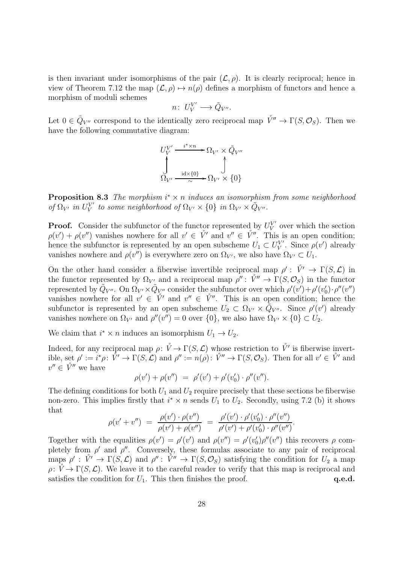is then invariant under isomorphisms of the pair  $(\mathcal{L}, \rho)$ . It is clearly reciprocal; hence in view of Theorem 7.12 the map  $(\mathcal{L}, \rho) \mapsto n(\rho)$  defines a morphism of functors and hence a morphism of moduli schemes

$$
n\colon\thinspace U^{V'}_V\longrightarrow \tilde Q_{V''}.
$$

Let  $0 \in \tilde{Q}_{V''}$  correspond to the identically zero reciprocal map  $\mathring{V''} \to \Gamma(S, \mathcal{O}_S)$ . Then we have the following commutative diagram:

$$
U_V^{V'} \xrightarrow{\phantom{V'} \phantom{V'} \phantom{V'} \phantom{V'}} {\phantom{V'} \phantom{V'} \phantom{V'}} {\phantom{V'} \phantom{V'} \phantom{V'}} {\phantom{V'} \phantom{V'} \phantom{V'} \phantom{V'}} {\phantom{V'} \phantom{V'} \phantom{V'} \phantom{V'} \phantom{V'} \phantom{V'} \phantom{V'} \phantom{V'} \phantom{V'} \phantom{V'} \phantom{V'} \phantom{V'} \phantom{V'} \phantom{V'} \phantom{V'} \phantom{V'} \phantom{V'} \phantom{V'} \phantom{V'} \phantom{V'} \phantom{V'} \phantom{V'} \phantom{V'} \phantom{V'} \phantom{V'} \phantom{V'} \phantom{V'} \phantom{V'} \phantom{V'} \phantom{V'} \phantom{V'} \phantom{V'} \phantom{V'} \phantom{V'} \phantom{V'} \phantom{V'} \phantom{V'} \phantom{V'} \phantom{V'} \phantom{V'} \phantom{V'} \phantom{V'} \phantom{V'} \phantom{V'} \phantom{V'} \phantom{V'} \phantom{V'} \phantom{V'} \phantom{V'} \phantom{V'} \phantom{V'} \phantom{V'} \phantom{V'} \phantom{V'} \phantom{V'} \phantom{V'} \phantom{V'} \phantom{V'} \phantom{V'} \phantom{V'} \phantom{V'} \phantom{V'} \phantom{V'} \phantom{V'} \phantom{V'} \phantom{V'} \phantom{V'} \phantom{V'} \phantom{V'} \phantom{V'} \phantom{V'} \phantom{V'} \phantom{V'} \phantom{V'} \phantom{V'} \phantom{V'} \phantom{V'} \phantom{V'} \phantom{V'} \phantom{V'} \phantom{V'} \phantom{V'} \phantom{V'} \phantom{V'} \phantom{V'} \phantom{V'} \phantom{V'} \phantom{V'} \phantom{V'} \phantom{V'} \phantom{V'} \phantom{V'} \phantom{V'} \phantom{V'} \phantom{V'} \phantom{V'} \phantom{V'} \phantom{V'} \phantom{V'} \phantom{V'} \phantom{V'} \phantom{V'} \phantom{V'} \phantom{V'} \phantom{V'} \phantom{V'} \phantom{V'} \phantom{V'} \phantom{V'} \phantom{V'} \phantom{V'} \
$$

**Proposition 8.3** The morphism  $i^* \times n$  induces an isomorphism from some neighborhood of  $\Omega_{V'}$  in  $U_{V}^{V'}$  $V'_{V}$  to some neighborhood of  $\Omega_{V'} \times \{0\}$  in  $\Omega_{V'} \times \tilde{Q}_{V''}.$ 

**Proof.** Consider the subfunctor of the functor represented by  $U_V^{V'}$  $V$  over which the section  $\rho(v') + \rho(v'')$  vanishes nowhere for all  $v' \in V'$  and  $v'' \in V''$ . This is an open condition; hence the subfunctor is represented by an open subscheme  $U_1 \subset U_V^{V'}$ V'. Since  $\rho(v')$  already vanishes nowhere and  $\rho(v'')$  is everywhere zero on  $\Omega_{V'}$ , we also have  $\Omega_{V'} \subset U_1$ .

On the other hand consider a fiberwise invertible reciprocal map  $\rho' : \n\dot{V}' \to \Gamma(S, \mathcal{L})$  in the functor represented by  $\Omega_{V'}$  and a reciprocal map  $\rho'' : V'' \to \Gamma(S, \mathcal{O}_S)$  in the functor represented by  $\tilde{Q}_{V''}$ . On  $\Omega_{V'} \times \tilde{Q}_{V''}$  consider the subfunctor over which  $\rho'(v') + \rho'(v_0') \cdot \rho''(v'')$ vanishes nowhere for all  $v' \in V'$  and  $v'' \in V''$ . This is an open condition; hence the subfunctor is represented by an open subscheme  $U_2 \subset \Omega_{V'} \times \tilde{Q}_{V''}$ . Since  $\rho'(v')$  already vanishes nowhere on  $\Omega_{V'}$  and  $\rho''(v'') = 0$  over  $\{0\}$ , we also have  $\Omega_{V'} \times \{0\} \subset U_2$ .

We claim that  $i^* \times n$  induces an isomorphism  $U_1 \to U_2$ .

Indeed, for any reciprocal map  $\rho: \mathring{V} \to \Gamma(S, \mathcal{L})$  whose restriction to  $\mathring{V}'$  is fiberwise invertible, set  $\rho' := i^*\rho: \mathring{V}' \to \Gamma(S,\mathcal{L})$  and  $\rho'' := n(\rho): \mathring{V}'' \to \Gamma(S,\mathcal{O}_S)$ . Then for all  $v' \in \mathring{V}'$  and  $v'' \in \overset{\circ}{V''}$  we have

$$
\rho(v') + \rho(v'') = \rho'(v') + \rho'(v_0') \cdot \rho''(v'').
$$

The defining conditions for both  $U_1$  and  $U_2$  require precisely that these sections be fiberwise non-zero. This implies firstly that  $i^* \times n$  sends  $U_1$  to  $U_2$ . Secondly, using 7.2 (b) it shows that

$$
\rho(v' + v'') = \frac{\rho(v') \cdot \rho(v'')}{\rho(v') + \rho(v'')} = \frac{\rho'(v') \cdot \rho'(v_0') \cdot \rho''(v'')}{\rho'(v') + \rho'(v_0') \cdot \rho''(v'')}.
$$

Together with the equalities  $\rho(v') = \rho'(v')$  and  $\rho(v'') = \rho'(v'_0)\rho''(v'')$  this recovers  $\rho$  completely from  $\rho'$  and  $\rho''$ . Conversely, these formulas associate to any pair of reciprocal maps  $\rho' : \nu' \to \Gamma(S, \mathcal{L})$  and  $\rho'' : \nu'' \to \Gamma(S, \mathcal{O}_S)$  satisfying the condition for  $U_2$  a map  $\rho: \mathring{V} \to \Gamma(S, \mathcal{L})$ . We leave it to the careful reader to verify that this map is reciprocal and satisfies the condition for  $U_1$ . This then finishes the proof.  $q.e.d.$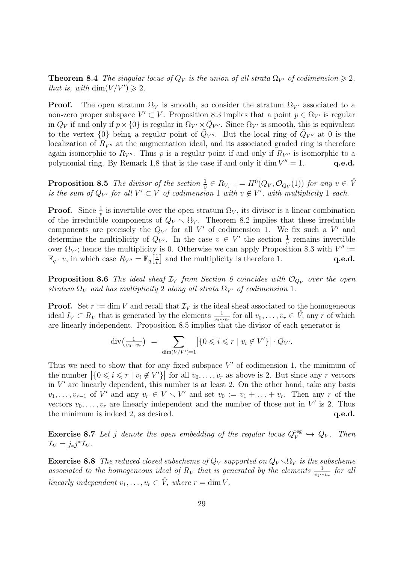**Theorem 8.4** The singular locus of  $Q_V$  is the union of all strata  $\Omega_{V'}$  of codimension  $\geq 2$ , that is, with  $\dim(V/V') \geq 2$ .

**Proof.** The open stratum  $\Omega_V$  is smooth, so consider the stratum  $\Omega_{V'}$  associated to a non-zero proper subspace  $V' \subset V$ . Proposition 8.3 implies that a point  $p \in \Omega_{V'}$  is regular in  $Q_V$  if and only if  $p \times \{0\}$  is regular in  $\Omega_{V'} \times \tilde{Q}_{V''}$ . Since  $\Omega_{V'}$  is smooth, this is equivalent to the vertex  $\{0\}$  being a regular point of  $\tilde{Q}_{V''}$ . But the local ring of  $\tilde{Q}_{V''}$  at 0 is the localization of  $R_{V''}$  at the augmentation ideal, and its associated graded ring is therefore again isomorphic to  $R_{V''}$ . Thus p is a regular point if and only if  $R_{V''}$  is isomorphic to a polynomial ring. By Remark 1.8 that is the case if and only if  $\dim V'' = 1$ .  $q.e.d.$ 

**Proposition 8.5** The divisor of the section  $\frac{1}{v} \in R_{V,-1} = H^0(Q_V, \mathcal{O}_{Q_V}(1))$  for any  $v \in \mathring{V}$ is the sum of  $Q_V$  for all  $V' \subset V$  of codimension 1 with  $v \notin V'$ , with multiplicity 1 each.

**Proof.** Since  $\frac{1}{v}$  is invertible over the open stratum  $\Omega_V$ , its divisor is a linear combination of the irreducible components of  $Q_V \setminus \Omega_V$ . Theorem 8.2 implies that these irreducible components are precisely the  $Q_{V'}$  for all V' of codimension 1. We fix such a V' and determine the multiplicity of  $Q_{V'}$ . In the case  $v \in V'$  the section  $\frac{1}{v}$  remains invertible over  $\Omega_{V'}$ ; hence the multiplicity is 0. Otherwise we can apply Proposition 8.3 with  $V'' :=$  $\mathbb{F}_q \cdot v$ , in which case  $R_{V''} = \mathbb{F}_q \left[ \frac{1}{v} \right]$  $\frac{1}{v}$  and the multiplicity is therefore 1.  $q.e.d.$ 

**Proposition 8.6** The ideal sheaf  $\mathcal{I}_V$  from Section 6 coincides with  $\mathcal{O}_{Q_V}$  over the open stratum  $\Omega_V$  and has multiplicity 2 along all strata  $\Omega_{V'}$  of codimension 1.

**Proof.** Set  $r := \dim V$  and recall that  $\mathcal{I}_V$  is the ideal sheaf associated to the homogeneous ideal  $I_V \subset R_V$  that is generated by the elements  $\frac{1}{v_0 \cdots v_r}$  for all  $v_0, \ldots, v_r \in V$ , any r of which are linearly independent. Proposition 8.5 implies that the divisor of each generator is

$$
\operatorname{div}\left(\frac{1}{v_0\cdots v_r}\right) = \sum_{\dim(V/V')=1} \left| \{0 \leqslant i \leqslant r \mid v_i \notin V'\} \right| \cdot Q_{V'}.
$$

Thus we need to show that for any fixed subspace  $V'$  of codimension 1, the minimum of the number  $|\{0 \le i \le r \mid v_i \notin V'\}|$  for all  $v_0, \ldots, v_r$  as above is 2. But since any r vectors in  $V'$  are linearly dependent, this number is at least 2. On the other hand, take any basis  $v_1, \ldots, v_{r-1}$  of V' and any  $v_r \in V \setminus V'$  and set  $v_0 := v_1 + \ldots + v_r$ . Then any r of the vectors  $v_0, \ldots, v_r$  are linearly independent and the number of those not in V' is 2. Thus the minimum is indeed 2, as desired.  $q.e.d.$ 

**Exercise 8.7** Let j denote the open embedding of the regular locus  $Q_V^{\text{reg}}$  $V^{\text{reg}} \hookrightarrow Q_V$ . Then  $\mathcal{I}_V = j_*j^*\mathcal{I}_V.$ 

**Exercise 8.8** The reduced closed subscheme of  $Q_V$  supported on  $Q_V \setminus \Omega_V$  is the subscheme associated to the homogeneous ideal of  $R_V$  that is generated by the elements  $\frac{1}{v_1\cdots v_r}$  for all linearly independent  $v_1, \ldots, v_r \in \mathring{V}$ , where  $r = \dim V$ .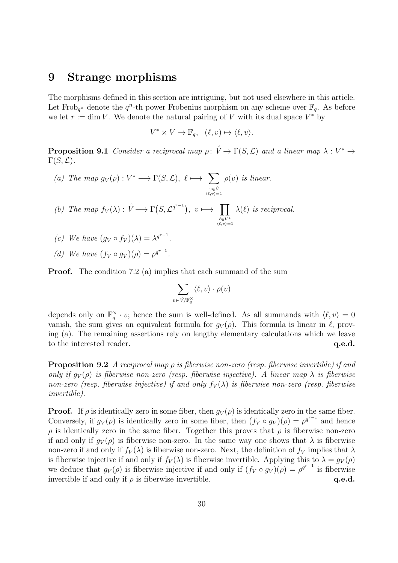#### 9 Strange morphisms

The morphisms defined in this section are intriguing, but not used elsewhere in this article. Let Frob<sub>q<sup>n</sup></sub> denote the  $q^n$ -th power Frobenius morphism on any scheme over  $\mathbb{F}_q$ . As before we let  $r := \dim V$ . We denote the natural pairing of V with its dual space  $V^*$  by

$$
V^* \times V \to \mathbb{F}_q, \quad (\ell, v) \mapsto \langle \ell, v \rangle.
$$

**Proposition 9.1** Consider a reciprocal map  $\rho: \mathring{V} \to \Gamma(S, \mathcal{L})$  and a linear map  $\lambda: V^* \to$  $\Gamma(S, {\cal L}).$ 

- (a) The map  $g_V(\rho): V^* \longrightarrow \Gamma(S, \mathcal{L}), \ell \longmapsto \sum$  $v \in \mathring{V}$ <br> $\langle \ell, v \rangle = 1$  $\rho(v)$  is linear.
- (b) The map  $f_V(\lambda) : \mathring{V} \longrightarrow \Gamma(S, \mathcal{L}^{q^{r-1}}), v \longmapsto \prod$  $\ell \in V^*$ <br> $\langle \ell, v \rangle = 1$  $\lambda(\ell)$  is reciprocal.
- (c) We have  $(g_V \circ f_V)(\lambda) = \lambda^{q^{r-1}}$ .
- (d) We have  $(f_V \circ g_V)(\rho) = \rho^{q^{r-1}}$ .

**Proof.** The condition 7.2 (a) implies that each summand of the sum

$$
\sum_{v \in \mathring{V}/\mathbb{F}_q^{\times}} \langle \ell, v \rangle \cdot \rho(v)
$$

depends only on  $\mathbb{F}_q^{\times} \cdot v$ ; hence the sum is well-defined. As all summands with  $\langle \ell, v \rangle = 0$ vanish, the sum gives an equivalent formula for  $g_V(\rho)$ . This formula is linear in  $\ell$ , proving (a). The remaining assertions rely on lengthy elementary calculations which we leave to the interested reader.  $q.e.d.$ 

**Proposition 9.2** A reciprocal map  $\rho$  is fiberwise non-zero (resp. fiberwise invertible) if and only if  $q_V(\rho)$  is fiberwise non-zero (resp. fiberwise injective). A linear map  $\lambda$  is fiberwise non-zero (resp. fiberwise injective) if and only  $f_V(\lambda)$  is fiberwise non-zero (resp. fiberwise invertible).

**Proof.** If  $\rho$  is identically zero in some fiber, then  $g_V(\rho)$  is identically zero in the same fiber. Conversely, if  $g_V(\rho)$  is identically zero in some fiber, then  $(f_V \circ g_V)(\rho) = \rho^{q^{r-1}}$  and hence  $\rho$  is identically zero in the same fiber. Together this proves that  $\rho$  is fiberwise non-zero if and only if  $g_V(\rho)$  is fiberwise non-zero. In the same way one shows that  $\lambda$  is fiberwise non-zero if and only if  $f_V(\lambda)$  is fiberwise non-zero. Next, the definition of  $f_V$  implies that  $\lambda$ is fiberwise injective if and only if  $f_V(\lambda)$  is fiberwise invertible. Applying this to  $\lambda = g_V(\rho)$ we deduce that  $g_V(\rho)$  is fiberwise injective if and only if  $(f_V \circ g_V)(\rho) = \rho^{q^{r-1}}$  is fiberwise invertible if and only if  $\rho$  is fiberwise invertible.  $q.e.d.$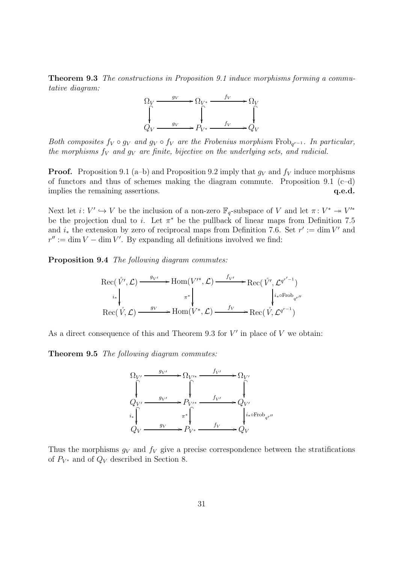Theorem 9.3 The constructions in Proposition 9.1 induce morphisms forming a commutative diagram:



Both composites  $f_V \circ g_V$  and  $g_V \circ f_V$  are the Frobenius morphism Frob<sub>q<sup>r-1</sup></sub>. In particular, the morphisms  $f_V$  and  $g_V$  are finite, bijective on the underlying sets, and radicial.

**Proof.** Proposition 9.1 (a–b) and Proposition 9.2 imply that  $q_V$  and  $f_V$  induce morphisms of functors and thus of schemes making the diagram commute. Proposition 9.1 (c–d) implies the remaining assertions.  $q.e.d.$ 

Next let  $i: V' \hookrightarrow V$  be the inclusion of a non-zero  $\mathbb{F}_q$ -subspace of V and let  $\pi: V^* \to V'^*$ be the projection dual to *i*. Let  $\pi^*$  be the pullback of linear maps from Definition 7.5 and  $i_*$  the extension by zero of reciprocal maps from Definition 7.6. Set  $r' := \dim V'$  and  $r'' := \dim V - \dim V'$ . By expanding all definitions involved we find:

Proposition 9.4 The following diagram commutes:

Rec(V˚′ ,L) g<sup>V</sup> ′ / i∗ Hom(V ′∗ ,L) π ∗ f<sup>V</sup> ′ /Rec(V˚′ ,L q r ′−1 ) i∗◦Frob qr′′ Rec(V˚,L) <sup>g</sup><sup>V</sup> /Hom(V ∗ ,L) <sup>f</sup><sup>V</sup> /Rec(V˚,<sup>L</sup> q r−1 )

As a direct consequence of this and Theorem 9.3 for  $V'$  in place of  $V$  we obtain:

Theorem 9.5 The following diagram commutes:



Thus the morphisms  $g_V$  and  $f_V$  give a precise correspondence between the stratifications of  $P_{V^*}$  and of  $Q_V$  described in Section 8.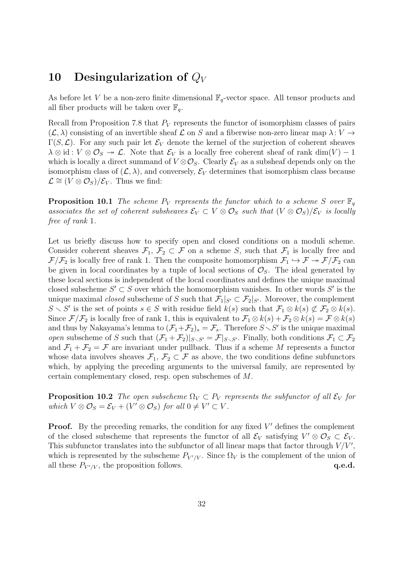# 10 Desingularization of  $Q_V$

As before let V be a non-zero finite dimensional  $\mathbb{F}_q$ -vector space. All tensor products and all fiber products will be taken over  $\mathbb{F}_q$ .

Recall from Proposition 7.8 that  $P_V$  represents the functor of isomorphism classes of pairs  $(\mathcal{L}, \lambda)$  consisting of an invertible sheaf  $\mathcal L$  on S and a fiberwise non-zero linear map  $\lambda: V \to V$  $\Gamma(S,\mathcal{L})$ . For any such pair let  $\mathcal{E}_V$  denote the kernel of the surjection of coherent sheaves  $\lambda \otimes id : V \otimes \mathcal{O}_S \to \mathcal{L}$ . Note that  $\mathcal{E}_V$  is a locally free coherent sheaf of rank  $\dim(V) - 1$ which is locally a direct summand of  $V \otimes \mathcal{O}_S$ . Clearly  $\mathcal{E}_V$  as a subsheaf depends only on the isomorphism class of  $(\mathcal{L}, \lambda)$ , and conversely,  $\mathcal{E}_V$  determines that isomorphism class because  $\mathcal{L} \cong (V \otimes \mathcal{O}_S)/\mathcal{E}_V$ . Thus we find:

**Proposition 10.1** The scheme  $P_V$  represents the functor which to a scheme S over  $\mathbb{F}_q$ associates the set of coherent subsheaves  $\mathcal{E}_V \subset V \otimes \mathcal{O}_S$  such that  $(V \otimes \mathcal{O}_S)/\mathcal{E}_V$  is locally free of rank 1.

Let us briefly discuss how to specify open and closed conditions on a moduli scheme. Consider coherent sheaves  $\mathcal{F}_1, \mathcal{F}_2 \subset \mathcal{F}$  on a scheme S, such that  $\mathcal{F}_1$  is locally free and  $\mathcal{F}/\mathcal{F}_2$  is locally free of rank 1. Then the composite homomorphism  $\mathcal{F}_1 \hookrightarrow \mathcal{F} \twoheadrightarrow \mathcal{F}/\mathcal{F}_2$  can be given in local coordinates by a tuple of local sections of  $\mathcal{O}_S$ . The ideal generated by these local sections is independent of the local coordinates and defines the unique maximal closed subscheme  $S' \subset S$  over which the homomorphism vanishes. In other words  $S'$  is the unique maximal *closed* subscheme of S such that  $\mathcal{F}_1|_{S'} \subset \mathcal{F}_2|_{S'}$ . Moreover, the complement  $S \setminus S'$  is the set of points  $s \in S$  with residue field  $k(s)$  such that  $\mathcal{F}_1 \otimes k(s) \not\subset \mathcal{F}_2 \otimes k(s)$ . Since  $\mathcal{F}/\mathcal{F}_2$  is locally free of rank 1, this is equivalent to  $\mathcal{F}_1 \otimes k(s) + \mathcal{F}_2 \otimes k(s) = \mathcal{F} \otimes k(s)$ and thus by Nakayama's lemma to  $(\mathcal{F}_1 + \mathcal{F}_2)_s = \mathcal{F}_s$ . Therefore  $S \setminus S'$  is the unique maximal *open* subscheme of S such that  $(\mathcal{F}_1 + \mathcal{F}_2)|_{S \setminus S'} = \mathcal{F}|_{S \setminus S'}$ . Finally, both conditions  $\mathcal{F}_1 \subset \mathcal{F}_2$ and  $\mathcal{F}_1 + \mathcal{F}_2 = \mathcal{F}$  are invariant under pullback. Thus if a scheme M represents a functor whose data involves sheaves  $\mathcal{F}_1, \mathcal{F}_2 \subset \mathcal{F}$  as above, the two conditions define subfunctors which, by applying the preceding arguments to the universal family, are represented by certain complementary closed, resp. open subschemes of M.

**Proposition 10.2** The open subscheme  $\Omega_V \subset P_V$  represents the subfunctor of all  $\mathcal{E}_V$  for which  $V \otimes \mathcal{O}_S = \mathcal{E}_V + (V' \otimes \mathcal{O}_S)$  for all  $0 \neq V' \subset V$ .

**Proof.** By the preceding remarks, the condition for any fixed  $V'$  defines the complement of the closed subscheme that represents the functor of all  $\mathcal{E}_V$  satisfying  $V' \otimes \mathcal{O}_S \subset \mathcal{E}_V$ . This subfunctor translates into the subfunctor of all linear maps that factor through  $V/V'$ , which is represented by the subscheme  $P_{V'/V}$ . Since  $\Omega_V$  is the complement of the union of all these  $P_{V'/V}$ , the proposition follows.  $q.e.d.$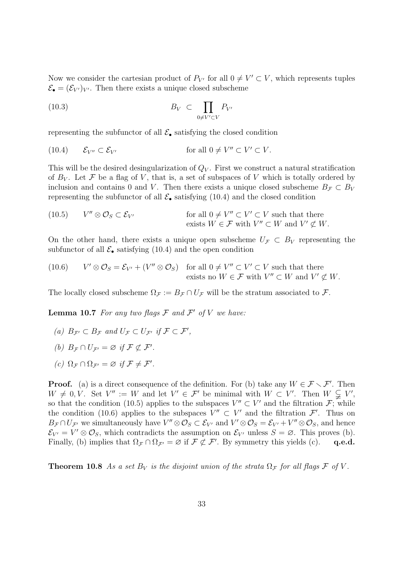Now we consider the cartesian product of  $P_{V'}$  for all  $0 \neq V' \subset V$ , which represents tuples  $\mathcal{E}_{\bullet} = (\mathcal{E}_{V'})_{V'}$ . Then there exists a unique closed subscheme

$$
(10.3) \t\t B_V \t \subset \prod_{0 \neq V' \subset V} P_{V'}
$$

representing the subfunctor of all  $\mathcal{E}_{\bullet}$  satisfying the closed condition

(10.4) 
$$
\mathcal{E}_{V''} \subset \mathcal{E}_{V'}
$$
 for all  $0 \neq V'' \subset V' \subset V$ .

This will be the desired desingularization of  $Q_V$ . First we construct a natural stratification of  $B_V$ . Let F be a flag of V, that is, a set of subspaces of V which is totally ordered by inclusion and contains 0 and V. Then there exists a unique closed subscheme  $B_F \subset B_V$ representing the subfunctor of all  $\mathcal{E}_{\bullet}$  satisfying (10.4) and the closed condition

(10.5) 
$$
V'' \otimes \mathcal{O}_S \subset \mathcal{E}_{V'}
$$
 for all  $0 \neq V'' \subset V' \subset V$  such that there exists  $W \in \mathcal{F}$  with  $V'' \subset W$  and  $V' \not\subset W$ .

On the other hand, there exists a unique open subscheme  $U_{\mathcal{F}} \subset B_V$  representing the subfunctor of all  $\mathcal{E}_{\bullet}$  satisfying (10.4) and the open condition

(10.6) 
$$
V' \otimes \mathcal{O}_S = \mathcal{E}_{V'} + (V'' \otimes \mathcal{O}_S) \text{ for all } 0 \neq V'' \subset V' \subset V \text{ such that there exists no } W \in \mathcal{F} \text{ with } V'' \subset W \text{ and } V' \nsubseteq W.
$$

The locally closed subscheme  $\Omega_{\mathcal{F}} := B_{\mathcal{F}} \cap U_{\mathcal{F}}$  will be the stratum associated to  $\mathcal{F}$ .

**Lemma 10.7** For any two flags  $\mathcal F$  and  $\mathcal F'$  of  $V$  we have:

- (a)  $B_{\mathcal{F}'} \subset B_{\mathcal{F}}$  and  $U_{\mathcal{F}} \subset U_{\mathcal{F}'}$  if  $\mathcal{F} \subset \mathcal{F}'$ ,
- (b)  $B_{\mathcal{F}} \cap U_{\mathcal{F}'} = \varnothing$  if  $\mathcal{F} \not\subset \mathcal{F}'$ .
- (c)  $\Omega_{\mathcal{F}} \cap \Omega_{\mathcal{F}'} = \varnothing$  if  $\mathcal{F} \neq \mathcal{F}'.$

**Proof.** (a) is a direct consequence of the definition. For (b) take any  $W \in \mathcal{F} \setminus \mathcal{F}'$ . Then  $W \neq 0, V$ . Set  $V'' := W$  and let  $V' \in \mathcal{F}'$  be minimal with  $W \subset V'$ . Then  $W \subsetneq V'$ , so that the condition (10.5) applies to the subspaces  $V'' \subset V'$  and the filtration  $\mathcal{F}$ ; while the condition (10.6) applies to the subspaces  $V'' \subset V'$  and the filtration  $\mathcal{F}'$ . Thus on  $B_{\mathcal{F}} \cap U_{\mathcal{F}'}$  we simultaneously have  $V'' \otimes \mathcal{O}_S \subset \mathcal{E}_{V'}$  and  $V' \otimes \mathcal{O}_S = \mathcal{E}_{V'} + V'' \otimes \mathcal{O}_S$ , and hence  $\mathcal{E}_{V'} = V' \otimes \mathcal{O}_S$ , which contradicts the assumption on  $\mathcal{E}_{V'}$  unless  $S = \emptyset$ . This proves (b). Finally, (b) implies that  $\Omega_{\mathcal{F}} \cap \Omega_{\mathcal{F}'} = \varnothing$  if  $\mathcal{F} \not\subset \mathcal{F}'$ . By symmetry this yields (c). q.e.d.

**Theorem 10.8** As a set  $B_V$  is the disjoint union of the strata  $\Omega_F$  for all flags F of V.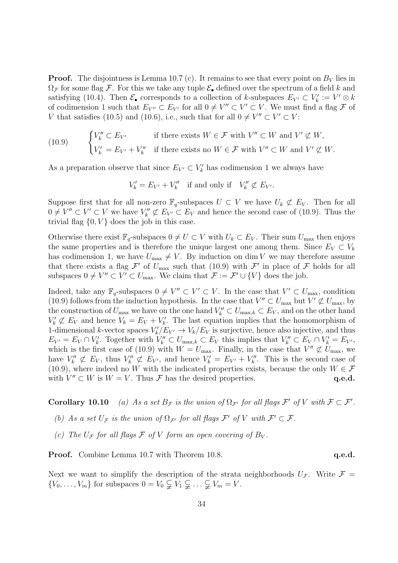**Proof.** The disjointness is Lemma 10.7 (c). It remains to see that every point on  $B_V$  lies in  $\Omega_{\mathcal{F}}$  for some flag  $\mathcal{F}$ . For this we take any tuple  $\mathcal{E}_{\bullet}$  defined over the spectrum of a field k and satisfying (10.4). Then  $\mathcal{E}_{\bullet}$  corresponds to a collection of k-subspaces  $E_{V'} \subset V'_k := V' \otimes k$ of codimension 1 such that  $E_{V''} \subset E_{V'}$  for all  $0 \neq V'' \subset V' \subset V$ . We must find a flag  $\mathcal F$  of V that satisfies (10.5) and (10.6), i.e., such that for all  $0 \neq V'' \subset V' \subset V$ :

(10.9) 
$$
\begin{cases} V_k'' \subset E_{V'} & \text{if there exists } W \in \mathcal{F} \text{ with } V'' \subset W \text{ and } V' \not\subset W, \\ V_k' = E_{V'} + V_k'' & \text{if there exists no } W \in \mathcal{F} \text{ with } V'' \subset W \text{ and } V' \not\subset W. \end{cases}
$$

As a preparation observe that since  $E_{V'} \subset V'_k$  has codimension 1 we always have

 $V'_{k} = E_{V'} + V''_{k}$  if and only if  $V''_{k} \not\subset E_{V'}$ .

Suppose first that for all non-zero  $\mathbb{F}_q$ -subspaces  $U \subset V$  we have  $U_k \not\subset E_V$ . Then for all  $0 \neq V'' \subset V' \subset V$  we have  $V''_k \not\subset E_{V'} \subset E_V$  and hence the second case of (10.9). Thus the trivial flag  $\{0, V\}$  does the job in this case.

Otherwise there exist  $\mathbb{F}_q$ -subspaces  $0 \neq U \subset V$  with  $U_k \subset E_V$ . Their sum  $U_{\text{max}}$  then enjoys the same properties and is therefore the unique largest one among them. Since  $E_V \subset V_k$ has codimension 1, we have  $U_{\text{max}} \neq V$ . By induction on dim V we may therefore assume that there exists a flag  $\mathcal{F}'$  of  $U_{\text{max}}$  such that (10.9) with  $\mathcal{F}'$  in place of  $\mathcal F$  holds for all subspaces  $0 \neq V'' \subset V' \subset U_{\text{max}}$ . We claim that  $\mathcal{F} := \mathcal{F}' \cup \{V\}$  does the job.

Indeed, take any  $\mathbb{F}_q$ -subspaces  $0 \neq V'' \subset V' \subset V$ . In the case that  $V' \subset U_{\text{max}}$ , condition (10.9) follows from the induction hypothesis. In the case that  $V'' \subset U_{\text{max}}$  but  $V' \not\subset U_{\text{max}}$ , by the construction of  $U_{\text{max}}$  we have on the one hand  $V''_k \subset U_{\text{max},k} \subset E_V$ , and on the other hand  $V'_{k} \not\subset E_{V}$  and hence  $V_{k} = E_{V} + V'_{k}$ . The last equation implies that the homomorphism of 1-dimensional k-vector spaces  $V'_k/E_{V'} \to V_k/E_V$  is surjective, hence also injective, and thus  $E_{V'} = E_V \cap V'_k$ . Together with  $V''_k \subset U_{\max,k} \subset E_V$  this implies that  $V''_k \subset E_V \cap V'_k = E_{V'}$ , which is the first case of (10.9) with  $W = U_{\text{max}}$ . Finally, in the case that  $V'' \not\subset U_{\text{max}}$ , we have  $V''_k \not\subset E_V$ , thus  $V''_k \not\subset E_{V'}$ , and hence  $V'_k = E_{V'} + V''_k$ . This is the second case of (10.9), where indeed no W with the indicated properties exists, because the only  $W \in \mathcal{F}$ with  $V'' \subset W$  is  $W = V$ . Thus  $\mathcal F$  has the desired properties.  $q.e.d.$ 

**Corollary 10.10** (a) As a set  $B_{\mathcal{F}}$  is the union of  $\Omega_{\mathcal{F}'}$  for all flags  $\mathcal{F}'$  of V with  $\mathcal{F} \subset \mathcal{F}'$ .

- (b) As a set  $U_{\mathcal{F}}$  is the union of  $\Omega_{\mathcal{F}'}$  for all flags  $\mathcal{F}'$  of V with  $\mathcal{F}' \subset \mathcal{F}$ .
- (c) The  $U_{\mathcal{F}}$  for all flags  $\mathcal{F}$  of V form an open covering of  $B_V$ .

**Proof.** Combine Lemma 10.7 with Theorem 10.8. **q.e.d.** q.e.d.

Next we want to simplify the description of the strata neighborhoods  $U_{\mathcal{F}}$ . Write  $\mathcal{F} =$  $\{V_0, \ldots, V_m\}$  for subspaces  $0 = V_0 \subsetneqq V_1 \subsetneqq \ldots \subsetneqq V_m = V$ .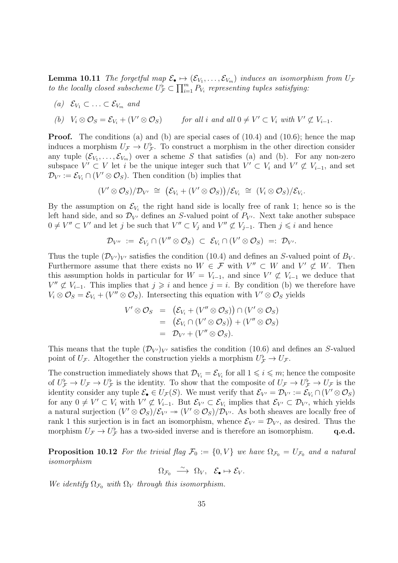**Lemma 10.11** The forgetful map  $\mathcal{E}_{\bullet} \mapsto (\mathcal{E}_{V_1}, \ldots, \mathcal{E}_{V_m})$  induces an isomorphism from  $U_{\mathcal{F}}$ to the locally closed subscheme  $U^{\overline{\flat}}_{\mathcal{F}} \subset \prod_{i=1}^m P_{V_i}$  representing tuples satisfying:

(a) 
$$
\mathcal{E}_{V_1} \subset \ldots \subset \mathcal{E}_{V_m}
$$
 and

(b) 
$$
V_i \otimes \mathcal{O}_S = \mathcal{E}_{V_i} + (V' \otimes \mathcal{O}_S)
$$
 for all  $i$  and all  $0 \neq V' \subset V_i$  with  $V' \not\subset V_{i-1}$ .

**Proof.** The conditions (a) and (b) are special cases of  $(10.4)$  and  $(10.6)$ ; hence the map induces a morphism  $U_{\mathcal{F}} \to U_{\mathcal{F}}^{\flat}$ . To construct a morphism in the other direction consider any tuple  $(\mathcal{E}_{V_1},\ldots,\mathcal{E}_{V_m})$  over a scheme S that satisfies (a) and (b). For any non-zero subspace  $V' \subset V$  let i be the unique integer such that  $V' \subset V_i$  and  $V' \not\subset V_{i-1}$ , and set  $\mathcal{D}_{V'} := \mathcal{E}_{V_i} \cap (V' \otimes \mathcal{O}_S)$ . Then condition (b) implies that

$$
(V' \otimes \mathcal{O}_S)/\mathcal{D}_{V'} \cong (\mathcal{E}_{V_i} + (V' \otimes \mathcal{O}_S))/\mathcal{E}_{V_i} \cong (V_i \otimes \mathcal{O}_S)/\mathcal{E}_{V_i}.
$$

By the assumption on  $\mathcal{E}_{V_i}$  the right hand side is locally free of rank 1; hence so is the left hand side, and so  $\mathcal{D}_{V'}$  defines an S-valued point of  $P_{V'}$ . Next take another subspace  $0 \neq V'' \subset V'$  and let j be such that  $V'' \subset V_j$  and  $V'' \not\subset V_{j-1}$ . Then  $j \leq i$  and hence

$$
\mathcal{D}_{V''} := \mathcal{E}_{V_j} \cap (V'' \otimes \mathcal{O}_S) \subset \mathcal{E}_{V_i} \cap (V' \otimes \mathcal{O}_S) =: \mathcal{D}_{V'}.
$$

Thus the tuple  $(\mathcal{D}_{V'})_{V'}$  satisfies the condition (10.4) and defines an S-valued point of  $B_V$ . Furthermore assume that there exists no  $W \in \mathcal{F}$  with  $V'' \subset W$  and  $V' \not\subset W$ . Then this assumption holds in particular for  $W = V_{i-1}$ , and since  $V' \not\subset V_{i-1}$  we deduce that  $V'' \not\subset V_{i-1}$ . This implies that  $j \geq i$  and hence  $j = i$ . By condition (b) we therefore have  $V_i \otimes \mathcal{O}_S = \mathcal{E}_{V_i} + (V'' \otimes \mathcal{O}_S)$ . Intersecting this equation with  $V' \otimes \mathcal{O}_S$  yields

$$
V' \otimes \mathcal{O}_S = (\mathcal{E}_{V_i} + (V'' \otimes \mathcal{O}_S)) \cap (V' \otimes \mathcal{O}_S)
$$
  
=  $(\mathcal{E}_{V_i} \cap (V' \otimes \mathcal{O}_S)) + (V'' \otimes \mathcal{O}_S)$   
=  $\mathcal{D}_{V'} + (V'' \otimes \mathcal{O}_S).$ 

This means that the tuple  $(\mathcal{D}_{V'})_{V'}$  satisfies the condition (10.6) and defines an S-valued point of  $U_{\mathcal{F}}$ . Altogether the construction yields a morphism  $U_{\mathcal{F}}^{\flat} \to U_{\mathcal{F}}$ .

The construction immediately shows that  $\mathcal{D}_{V_i} = \mathcal{E}_{V_i}$  for all  $1 \leq i \leq m$ ; hence the composite of  $U^{\flat}_{\mathcal{F}} \to U_{\mathcal{F}} \to U^{\flat}_{\mathcal{F}}$  is the identity. To show that the composite of  $U_{\mathcal{F}} \to U^{\flat}_{\mathcal{F}} \to U_{\mathcal{F}}$  is the identity consider any tuple  $\mathcal{E}_{\bullet} \in U_{\mathcal{F}}(S)$ . We must verify that  $\mathcal{E}_{V'} = \mathcal{D}_{V'} := \mathcal{E}_{V_i} \cap (V' \otimes \mathcal{O}_S)$ for any  $0 \neq V' \subset V_i$  with  $V' \not\subset V_{i-1}$ . But  $\mathcal{E}_{V'} \subset \mathcal{E}_{V_i}$  implies that  $\mathcal{E}_{V'} \subset \mathcal{D}_{V'}$ , which yields a natural surjection  $(V' \otimes O_S)/\mathcal{E}_{V'} \to (V' \otimes O_S)/\mathcal{D}_{V'}$ . As both sheaves are locally free of rank 1 this surjection is in fact an isomorphism, whence  $\mathcal{E}_{V'} = \mathcal{D}_{V'}$ , as desired. Thus the morphism  $U_{\mathcal{F}} \to U_{\mathcal{F}}^{\flat}$  has a two-sided inverse and is therefore an isomorphism. q.e.d.

**Proposition 10.12** For the trivial flag  $\mathcal{F}_0 := \{0, V\}$  we have  $\Omega_{\mathcal{F}_0} = U_{\mathcal{F}_0}$  and a natural isomorphism

 $\Omega_{\mathcal{F}_0} \stackrel{\sim}{\longrightarrow} \Omega_V, \quad \mathcal{E}_{\bullet} \mapsto \mathcal{E}_V.$ 

We identify  $\Omega_{\mathcal{F}_0}$  with  $\Omega_V$  through this isomorphism.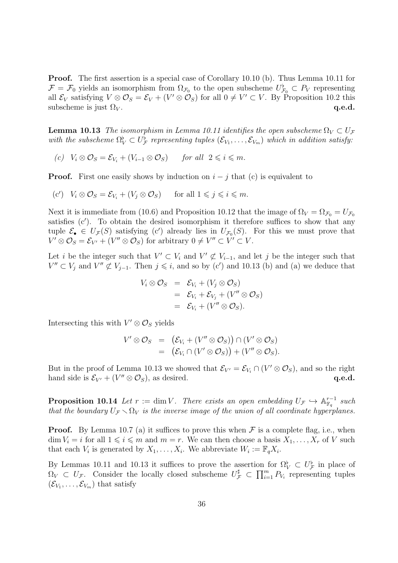Proof. The first assertion is a special case of Corollary 10.10 (b). Thus Lemma 10.11 for  $\mathcal{F} = \mathcal{F}_0$  yields an isomorphism from  $\Omega_{\mathcal{F}_0}$  to the open subscheme  $U_{\mathcal{F}_0}^{\flat} \subset P_V$  representing all  $\mathcal{E}_V$  satisfying  $V \otimes \mathcal{O}_S = \mathcal{E}_V + (V' \otimes \mathcal{O}_S)$  for all  $0 \neq V' \subset V$ . By Proposition 10.2 this subscheme is just  $\Omega_V$ . q.e.d.

**Lemma 10.13** The isomorphism in Lemma 10.11 identifies the open subscheme  $\Omega_V \subset U_F$ with the subscheme  $\Omega_V^{\flat} \subset U_{\mathcal{F}}^{\flat}$  representing tuples  $(\mathcal{E}_{V_1}, \ldots, \mathcal{E}_{V_m})$  which in addition satisfy:

(c)  $V_i \otimes \mathcal{O}_S = \mathcal{E}_{V_i} + (V_{i-1} \otimes \mathcal{O}_S)$  for all  $2 \leq i \leq m$ .

**Proof.** First one easily shows by induction on  $i - j$  that (c) is equivalent to

$$
(c') \quad V_i \otimes \mathcal{O}_S = \mathcal{E}_{V_i} + (V_j \otimes \mathcal{O}_S) \quad \text{for all } 1 \leq j \leq i \leq m.
$$

Next it is immediate from (10.6) and Proposition 10.12 that the image of  $\Omega_V = \Omega_{\mathcal{F}_0} = U_{\mathcal{F}_0}$ satisfies (c′ ). To obtain the desired isomorphism it therefore suffices to show that any tuple  $\mathcal{E}_{\bullet} \in U_{\mathcal{F}}(S)$  satisfying (c') already lies in  $U_{\mathcal{F}_0}(S)$ . For this we must prove that  $V' \otimes \mathcal{O}_S = \mathcal{E}_{V'} + (V'' \otimes \mathcal{O}_S)$  for arbitrary  $0 \neq V'' \subset V' \subset V$ .

Let *i* be the integer such that  $V' \subset V_i$  and  $V' \not\subset V_{i-1}$ , and let *j* be the integer such that  $V'' \subset V_j$  and  $V'' \not\subset V_{j-1}$ . Then  $j \leq i$ , and so by (c') and 10.13 (b) and (a) we deduce that

$$
V_i \otimes \mathcal{O}_S = \mathcal{E}_{V_i} + (V_j \otimes \mathcal{O}_S)
$$
  
=  $\mathcal{E}_{V_i} + \mathcal{E}_{V_j} + (V'' \otimes \mathcal{O}_S)$   
=  $\mathcal{E}_{V_i} + (V'' \otimes \mathcal{O}_S).$ 

Intersecting this with  $V' \otimes \mathcal{O}_S$  yields

$$
V' \otimes \mathcal{O}_S = (\mathcal{E}_{V_i} + (V'' \otimes \mathcal{O}_S)) \cap (V' \otimes \mathcal{O}_S)
$$
  
=  $(\mathcal{E}_{V_i} \cap (V' \otimes \mathcal{O}_S)) + (V'' \otimes \mathcal{O}_S).$ 

But in the proof of Lemma 10.13 we showed that  $\mathcal{E}_{V'} = \mathcal{E}_{V_i} \cap (V' \otimes \mathcal{O}_S)$ , and so the right hand side is  $\mathcal{E}_{V'} + (V'' \otimes \mathcal{O}_S)$ , as desired.  $\mathbf{q.e.d.}$ 

**Proposition 10.14** Let  $r := \dim V$ . There exists an open embedding  $U_{\mathcal{F}} \hookrightarrow \mathbb{A}_{\mathbb{F}_q}^{r-1}$  $\frac{r-1}{\mathbb{F}_q}$  such that the boundary  $U_{\mathcal{F}} \setminus \Omega_V$  is the inverse image of the union of all coordinate hyperplanes.

**Proof.** By Lemma 10.7 (a) it suffices to prove this when  $\mathcal F$  is a complete flag, i.e., when  $\dim V_i = i$  for all  $1 \leq i \leq m$  and  $m = r$ . We can then choose a basis  $X_1, \ldots, X_r$  of V such that each  $V_i$  is generated by  $X_1, \ldots, X_i$ . We abbreviate  $W_i := \mathbb{F}_q X_i$ .

By Lemmas 10.11 and 10.13 it suffices to prove the assertion for  $\Omega_V^{\flat} \subset U_{\mathcal{F}}^{\flat}$  in place of  $\Omega_V \subset U_{\mathcal{F}}$ . Consider the locally closed subscheme  $U_{\mathcal{F}}^{\sharp} \subset \prod_{i=1}^m P_{V_i}$  representing tuples  $(\mathcal{E}_{V_1}, \ldots, \mathcal{E}_{V_m})$  that satisfy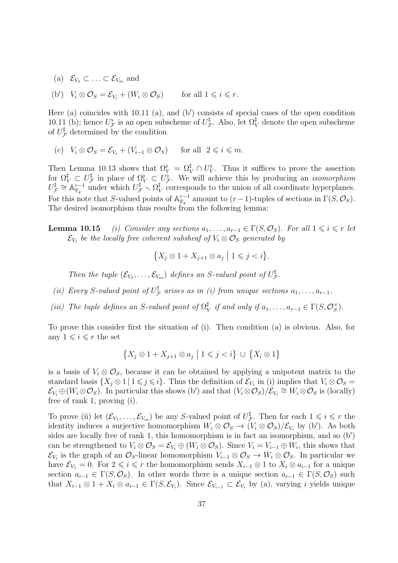(a)  $\mathcal{E}_{V_1} \subset \ldots \subset \mathcal{E}_{V_m}$  and

(b')  $V_i \otimes \mathcal{O}_S = \mathcal{E}_{V_i} + (W_i \otimes \mathcal{O}_S)$  for all  $1 \leq i \leq r$ .

Here (a) coincides with 10.11 (a), and (b') consists of special cases of the open condition 10.11 (b); hence  $U^{\flat}_{\mathcal{F}}$  is an open subscheme of  $U^{\sharp}_{\mathcal{F}}$  $\sharp$ . Also, let Ω $_V^{\sharp}$  denote the open subscheme of  $U_{\mathcal{F}}^{\sharp}$  determined by the condition

(c) 
$$
V_i \otimes \mathcal{O}_S = \mathcal{E}_{V_i} + (V_{i-1} \otimes \mathcal{O}_S)
$$
 for all  $2 \leq i \leq m$ .

Then Lemma 10.13 shows that  $\Omega_V^{\flat} = \Omega_V^{\sharp} \cap U_V^{\flat}$ . Thus it suffices to prove the assertion for  $\Omega_{V}^{\sharp} \subset U_{\mathcal{F}}^{\sharp}$  $\mathcal{F}_{\mathcal{F}}^{\sharp}$  in place of  $\Omega_{V}^{b} \subset U_{\mathcal{F}}^{b}$ . We will achieve this by producing an *isomorphism*  $U^{\sharp}_{\mathcal{I}}$  $\mathcal{F} \cong \mathbb{A}^{r-1}_{\mathbb{F}_q}$  $_{\mathbb{F}_q}^{r-1}$  under which  $U_{\mathcal{F}}^{\sharp} \setminus \Omega_{\mathcal{V}}^{\sharp}$  $\frac{1}{V}$  corresponds to the union of all coordinate hyperplanes. For this note that S-valued points of  $\mathbb{A}^{r-1}_{\mathbb{F}_q}$  $\mathbb{F}_q^{r-1}$  amount to  $(r-1)$ -tuples of sections in  $\Gamma(S, \mathcal{O}_S)$ . The desired isomorphism thus results from the following lemma:

**Lemma 10.15** (i) Consider any sections  $a_1, \ldots, a_{r-1} \in \Gamma(S, \mathcal{O}_S)$ . For all  $1 \leq i \leq r$  let  $\mathcal{E}_{V_i}$  be the locally free coherent subsheaf of  $V_i\otimes\mathcal{O}_S$  generated by

$$
\{X_j \otimes 1 + X_{j+1} \otimes a_j \mid 1 \leq j < i\}.
$$

Then the tuple  $(\mathcal{E}_{V_1}, \ldots, \mathcal{E}_{V_m})$  defines an S-valued point of  $U^{\sharp}_{\mathcal{I}}$ F .

- (ii) Every S-valued point of  $U^{\sharp}_{\mathcal{I}}$  $\mathcal{F}_{\mathcal{F}}$  arises as in (i) from unique sections  $a_1, \ldots, a_{r-1}$ .
- (iii) The tuple defines an S-valued point of  $\Omega^{\sharp}$  $\mathop{\sharp}_{V}^{\sharp}$  if and only if  $a_1, \ldots, a_{r-1} \in \Gamma(S, \mathcal{O}_{S}^{\times})$  $_{S}^{\times}$ .

To prove this consider first the situation of (i). Then condition (a) is obvious. Also, for any  $1 \leq i \leq r$  the set

$$
\{X_j \otimes 1 + X_{j+1} \otimes a_j \mid 1 \leq j < i\} \cup \{X_i \otimes 1\}
$$

is a basis of  $V_i \otimes \mathcal{O}_s$ , because it can be obtained by applying a unipotent matrix to the standard basis  $\{X_j \otimes 1 \mid 1 \leq j \leq i\}$ . Thus the definition of  $\mathcal{E}_{V_i}$  in (i) implies that  $V_i \otimes \mathcal{O}_S =$  $\mathcal{E}_{V_i} \oplus (W_i \otimes \mathcal{O}_S)$ . In particular this shows (b') and that  $(V_i \otimes \mathcal{O}_S)/\mathcal{E}_{V_i} \cong W_i \otimes \mathcal{O}_S$  is (locally) free of rank 1, proving (i).

To prove (ii) let  $(\mathcal{E}_{V_1}, \ldots, \mathcal{E}_{V_m})$  be any S-valued point of  $U^{\sharp}_{\mathcal{I}}$  $\sharp$ . Then for each  $1 \leqslant i \leqslant r$  the identity induces a surjective homomorphism  $W_i \otimes \mathcal{O}_S \to (V_i \otimes \mathcal{O}_S)/\mathcal{E}_{V_i}$  by (b'). As both sides are locally free of rank 1, this homomorphism is in fact an isomorphism, and so  $(b')$ can be strengthened to  $V_i \otimes \mathcal{O}_S = \mathcal{E}_{V_i} \oplus (W_i \otimes \mathcal{O}_S)$ . Since  $V_i = V_{i-1} \oplus W_i$ , this shows that  $\mathcal{E}_{V_i}$  is the graph of an  $\mathcal{O}_S$ -linear homomorphism  $V_{i-1}\otimes\mathcal{O}_S\to W_i\otimes\mathcal{O}_S$ . In particular we have  $\mathcal{E}_{V_1} = 0$ . For  $2 \leq i \leq r$  the homomorphism sends  $X_{i-1} \otimes 1$  to  $X_i \otimes a_{i-1}$  for a unique section  $a_{i-1} \in \Gamma(S, \mathcal{O}_S)$ . In other words there is a unique section  $a_{i-1} \in \Gamma(S, \mathcal{O}_S)$  such that  $X_{i-1}\otimes 1+X_i\otimes a_{i-1}\in \Gamma(S,\mathcal{E}_{V_i})$ . Since  $\mathcal{E}_{V_{i-1}}\subset \mathcal{E}_{V_i}$  by (a), varying i yields unique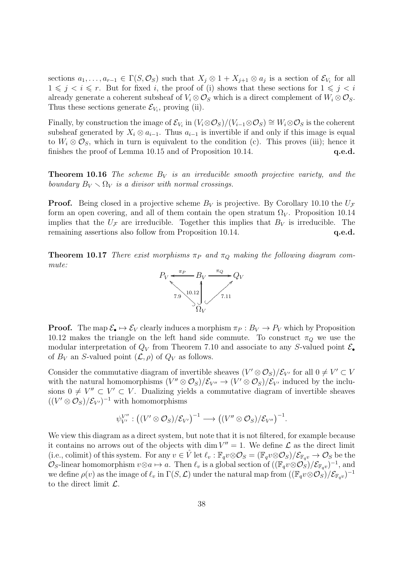sections  $a_1, \ldots, a_{r-1} \in \Gamma(S, \mathcal{O}_S)$  such that  $X_j \otimes 1 + X_{j+1} \otimes a_j$  is a section of  $\mathcal{E}_{V_i}$  for all  $1 \leq j \leq i \leq r$ . But for fixed i, the proof of (i) shows that these sections for  $1 \leq j \leq i$ already generate a coherent subsheaf of  $V_i \otimes \mathcal{O}_S$  which is a direct complement of  $W_i \otimes \mathcal{O}_S$ . Thus these sections generate  $\mathcal{E}_{V_i}$ , proving (ii).

Finally, by construction the image of  $\mathcal{E}_{V_i}$  in  $(V_i \otimes \mathcal{O}_S)/(V_{i-1} \otimes \mathcal{O}_S) \cong W_i \otimes \mathcal{O}_S$  is the coherent subsheaf generated by  $X_i \otimes a_{i-1}$ . Thus  $a_{i-1}$  is invertible if and only if this image is equal to  $W_i \otimes \mathcal{O}_S$ , which in turn is equivalent to the condition (c). This proves (iii); hence it finishes the proof of Lemma 10.15 and of Proposition 10.14.  $q.e.d.$ 

**Theorem 10.16** The scheme  $B_V$  is an irreducible smooth projective variety, and the boundary  $B_V \setminus \Omega_V$  is a divisor with normal crossings.

**Proof.** Being closed in a projective scheme  $B_V$  is projective. By Corollary 10.10 the  $U_F$ form an open covering, and all of them contain the open stratum  $\Omega_V$ . Proposition 10.14 implies that the  $U_{\mathcal{F}}$  are irreducible. Together this implies that  $B_V$  is irreducible. The remaining assertions also follow from Proposition 10.14. **q.e.d.** q.e.d.

**Theorem 10.17** There exist morphisms  $\pi_P$  and  $\pi_Q$  making the following diagram commute:



**Proof.** The map  $\mathcal{E}_{\bullet} \mapsto \mathcal{E}_{V}$  clearly induces a morphism  $\pi_{P}: B_{V} \to P_{V}$  which by Proposition 10.12 makes the triangle on the left hand side commute. To construct  $\pi_Q$  we use the modular interpretation of  $Q_V$  from Theorem 7.10 and associate to any S-valued point  $\mathcal{E}_{\bullet}$ of  $B_V$  an S-valued point  $(\mathcal{L}, \rho)$  of  $Q_V$  as follows.

Consider the commutative diagram of invertible sheaves  $(V' \otimes \mathcal{O}_S)/\mathcal{E}_{V'}$  for all  $0 \neq V' \subset V$ with the natural homomorphisms  $(V'' \otimes \mathcal{O}_S)/\mathcal{E}_{V''} \to (V' \otimes \mathcal{O}_S)/\mathcal{E}_{V'}$  induced by the inclusions  $0 \neq V'' \subset V' \subset V$ . Dualizing yields a commutative diagram of invertible sheaves  $((V' \otimes \mathcal{O}_S)/\mathcal{E}_{V'})^{-1}$  with homomorphisms

$$
\psi_{V'}^{V''}: ((V' \otimes \mathcal{O}_S)/\mathcal{E}_{V'})^{-1} \longrightarrow ((V'' \otimes \mathcal{O}_S)/\mathcal{E}_{V''})^{-1}.
$$

We view this diagram as a direct system, but note that it is not filtered, for example because it contains no arrows out of the objects with dim  $V'' = 1$ . We define  $\mathcal L$  as the direct limit (i.e., colimit) of this system. For any  $v \in V$  let  $\ell_v : \mathbb{F}_q v \otimes \mathcal{O}_S = (\mathbb{F}_q v \otimes \mathcal{O}_S)/\mathcal{E}_{\mathbb{F}_q v} \to \mathcal{O}_S$  be the  $\mathcal{O}_S$ -linear homomorphism  $v \otimes a \mapsto a$ . Then  $\ell_v$  is a global section of  $((\mathbb{F}_q v \otimes \mathcal{O}_S)/\mathcal{E}_{\mathbb{F}_{q}v})^{-1}$ , and we define  $\rho(v)$  as the image of  $\ell_v$  in  $\Gamma(S, \mathcal{L})$  under the natural map from  $((\mathbb{F}_qv\otimes\mathcal{O}_S)/\mathcal{E}_{\mathbb{F}_{q}v})^{-1}$ to the direct limit  $\mathcal{L}$ .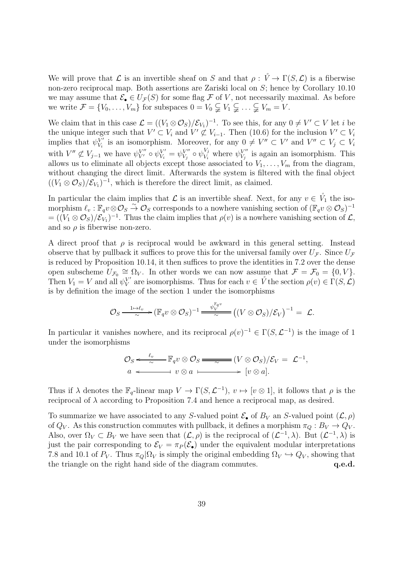We will prove that  $\mathcal L$  is an invertible sheaf on S and that  $\rho: \mathring{V} \to \Gamma(S, \mathcal L)$  is a fiberwise non-zero reciprocal map. Both assertions are Zariski local on S; hence by Corollary 10.10 we may assume that  $\mathcal{E}_{\bullet} \in U_{\mathcal{F}}(S)$  for some flag  $\mathcal F$  of V, not necessarily maximal. As before we write  $\mathcal{F} = \{V_0, \ldots, V_m\}$  for subspaces  $0 = V_0 \subsetneq V_1 \subsetneq \ldots \subsetneq V_m = V$ .

We claim that in this case  $\mathcal{L} = ((V_1 \otimes \mathcal{O}_S)/\mathcal{E}_{V_1})^{-1}$ . To see this, for any  $0 \neq V' \subset V$  let *i* be the unique integer such that  $V' \subset V_i$  and  $V' \not\subset V_{i-1}$ . Then (10.6) for the inclusion  $V' \subset V_i$ implies that  $\psi_{V_i}^{V'}$  $V'_{V_i}$  is an isomorphism. Moreover, for any  $0 \neq V'' \subset V'$  and  $V'' \subset V_j \subset V_i$ with  $V'' \not\subset V_{j-1}$  we have  $\psi_{V'}^{V''} \circ \psi_{V_i}^{V'} = \psi_{V_j}^{V''}$  $V_j''\circ\psi_{V_i}^{V_j}$  $V_i$  where  $\psi_{V_j}^{V''}$  $V''_{V_j}$  is again an isomorphism. This allows us to eliminate all objects except those associated to  $V_1, \ldots, V_m$  from the diagram, without changing the direct limit. Afterwards the system is filtered with the final object  $((V_1 \otimes \mathcal{O}_S)/\mathcal{E}_{V_1})^{-1}$ , which is therefore the direct limit, as claimed.

In particular the claim implies that  $\mathcal L$  is an invertible sheaf. Next, for any  $v \in V_1$  the isomorphism  $\ell_v : \mathbb{F}_q v \otimes \mathcal{O}_S \overset{\sim}{\to} \mathcal{O}_S$  corresponds to a nowhere vanishing section of  $(\mathbb{F}_q v \otimes \mathcal{O}_S)^{-1}$  $= ((V_1 \otimes \mathcal{O}_S)/\mathcal{E}_{V_1})^{-1}$ . Thus the claim implies that  $\rho(v)$  is a nowhere vanishing section of  $\mathcal{L},$ and so  $\rho$  is fiberwise non-zero.

A direct proof that  $\rho$  is reciprocal would be awkward in this general setting. Instead observe that by pullback it suffices to prove this for the universal family over  $U_{\mathcal{F}}$ . Since  $U_{\mathcal{F}}$ is reduced by Proposition 10.14, it then suffices to prove the identities in 7.2 over the dense open subscheme  $U_{\mathcal{F}_0} \cong \Omega_V$ . In other words we can now assume that  $\mathcal{F} = \mathcal{F}_0 = \{0, V\}$ . Then  $V_1 = V$  and all  $\psi_V^{V'}$  $V'_{V}$  are isomorphisms. Thus for each  $v \in V$  the section  $\rho(v) \in \Gamma(S, \mathcal{L})$ is by definition the image of the section 1 under the isomorphisms

$$
\mathcal{O}_S \xrightarrow{\ \ \, 1\mapsto \ell_v\ \ }\ (\mathbb{F}_qv\otimes\mathcal{O}_S)^{-1} \xrightarrow{\ \psi_V^{\mathbb{F}_{q^v}}\ \ }\big((V\otimes\mathcal{O}_S)/\mathcal{E}_V\big)^{-1}=\ \mathcal{L}.
$$

In particular it vanishes nowhere, and its reciprocal  $\rho(v)^{-1} \in \Gamma(S, \mathcal{L}^{-1})$  is the image of 1 under the isomorphisms

$$
\mathcal{O}_S \xleftarrow{\ell_v} \mathbb{F}_q v \otimes \mathcal{O}_S \xrightarrow{\sim} (V \otimes \mathcal{O}_S)/\mathcal{E}_V = \mathcal{L}^{-1},
$$
  
\n $a \xleftarrow{\sim} v \otimes a \xrightarrow{\sim} [v \otimes a].$ 

Thus if  $\lambda$  denotes the  $\mathbb{F}_q$ -linear map  $V \to \Gamma(S, \mathcal{L}^{-1}), v \mapsto [v \otimes 1]$ , it follows that  $\rho$  is the reciprocal of  $\lambda$  according to Proposition 7.4 and hence a reciprocal map, as desired.

To summarize we have associated to any S-valued point  $\mathcal{E}_{\bullet}$  of  $B_V$  an S-valued point  $(\mathcal{L}, \rho)$ of  $Q_V$ . As this construction commutes with pullback, it defines a morphism  $\pi_Q : B_V \to Q_V$ . Also, over  $\Omega_V \subset B_V$  we have seen that  $(\mathcal{L}, \rho)$  is the reciprocal of  $(\mathcal{L}^{-1}, \lambda)$ . But  $(\mathcal{L}^{-1}, \lambda)$  is just the pair corresponding to  $\mathcal{E}_V = \pi_P(\mathcal{E}_\bullet)$  under the equivalent modular interpretations 7.8 and 10.1 of  $P_V$ . Thus  $\pi_Q|\Omega_V$  is simply the original embedding  $\Omega_V \hookrightarrow Q_V$ , showing that the triangle on the right hand side of the diagram commutes.  $q.e.d.$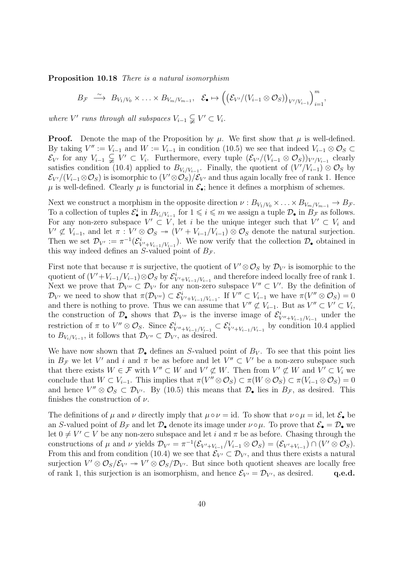Proposition 10.18 There is a natural isomorphism

$$
B_{\mathcal{F}} \stackrel{\sim}{\longrightarrow} B_{V_1/V_0} \times \ldots \times B_{V_m/V_{m-1}}, \quad \mathcal{E}_{\bullet} \mapsto \left( \left( \mathcal{E}_{V'} / (V_{i-1} \otimes \mathcal{O}_S) \right)_{V'/V_{i-1}} \right)_{i=1}^m,
$$

where V' runs through all subspaces  $V_{i-1} \subsetneq V' \subset V_i$ .

**Proof.** Denote the map of the Proposition by  $\mu$ . We first show that  $\mu$  is well-defined. By taking  $V'' := V_{i-1}$  and  $W := V_{i-1}$  in condition (10.5) we see that indeed  $V_{i-1} \otimes \mathcal{O}_S \subset$  $\mathcal{E}_{V'}$  for any  $V_{i-1} \subsetneq V' \subset V_i$ . Furthermore, every tuple  $(\mathcal{E}_{V'}/(V_{i-1} \otimes \mathcal{O}_S))_{V'/V_{i-1}}$  clearly satisfies condition (10.4) applied to  $B_{V_i/V_{i-1}}$ . Finally, the quotient of  $(V'/V_{i-1}) \otimes \mathcal{O}_S$  by  $\mathcal{E}_{V'}/(V_{i-1}\otimes\mathcal{O}_S)$  is isomorphic to  $(V'\otimes\mathcal{O}_S)/\mathcal{E}_{V'}$  and thus again locally free of rank 1. Hence  $\mu$  is well-defined. Clearly  $\mu$  is functorial in  $\mathcal{E}_{\bullet}$ ; hence it defines a morphism of schemes.

Next we construct a morphism in the opposite direction  $\nu : B_{V_1/V_0} \times ... \times B_{V_m/V_{m-1}} \to B_{\mathcal{F}}$ . To a collection of tuples  $\mathcal{E}_{\bullet}^{i}$  in  $B_{V_{i}/V_{i-1}}$  for  $1 \leqslant i \leqslant m$  we assign a tuple  $\mathcal{D}_{\bullet}$  in  $B_{\mathcal{F}}$  as follows. For any non-zero subspace  $V' \subset V$ , let i be the unique integer such that  $V' \subset V_i$  and  $V' \not\subset V_{i-1}$ , and let  $\pi : V' \otimes \mathcal{O}_S \to (V' + V_{i-1}/V_{i-1}) \otimes \mathcal{O}_S$  denote the natural surjection. Then we set  $\mathcal{D}_{V'} := \pi^{-1}(\mathcal{E}_{V'+V_{i-1}/V_{i-1}}^i)$ . We now verify that the collection  $\mathcal{D}_{\bullet}$  obtained in this way indeed defines an S-valued point of  $B_{\mathcal{F}}$ .

First note that because  $\pi$  is surjective, the quotient of  $V' \otimes \mathcal{O}_S$  by  $\mathcal{D}_{V'}$  is isomorphic to the quotient of  $(V' + V_{i-1}/V_{i-1}) \otimes \mathcal{O}_S$  by  $\mathcal{E}_{V' + V_{i-1}/V_{i-1}}^i$  and therefore indeed locally free of rank 1. Next we prove that  $\mathcal{D}_{V''} \subset \mathcal{D}_{V'}$  for any non-zero subspace  $V'' \subset V'$ . By the definition of  $\mathcal{D}_{V'}$  we need to show that  $\pi(\mathcal{D}_{V''}) \subset \mathcal{E}_{V'+V_{i-1}/V_{i-1}}^i$ . If  $V'' \subset V_{i-1}$  we have  $\pi(V'' \otimes \mathcal{O}_S) = 0$ and there is nothing to prove. Thus we can assume that  $V'' \not\subset V_{i-1}$ . But as  $V'' \subset V' \subset V_i$ , the construction of  $\mathcal{D}_\bullet$  shows that  $\mathcal{D}_{V''}$  is the inverse image of  $\mathcal{E}_{V''+V_{i-1}/V_{i-1}}^i$  under the restriction of  $\pi$  to  $V'' \otimes \mathcal{O}_S$ . Since  $\mathcal{E}_{V''+V_{i-1}/V_{i-1}}^i \subset \mathcal{E}_{V'+V_{i-1}/V_{i-1}}^i$  by condition 10.4 applied to  $B_{V_i/V_{i-1}}$ , it follows that  $\mathcal{D}_{V''} \subset \mathcal{D}_{V'}$ , as desired.

We have now shown that  $\mathcal{D}_{\bullet}$  defines an S-valued point of  $B_V$ . To see that this point lies in  $B_{\mathcal{F}}$  we let V' and i and  $\pi$  be as before and let  $V'' \subset V'$  be a non-zero subspace such that there exists  $W \in \mathcal{F}$  with  $V'' \subset W$  and  $V' \not\subset W$ . Then from  $V' \not\subset W$  and  $V' \subset V_i$  we conclude that  $W \subset V_{i-1}$ . This implies that  $\pi(V'' \otimes \mathcal{O}_S) \subset \pi(W \otimes \mathcal{O}_S) \subset \pi(V_{i-1} \otimes \mathcal{O}_S) = 0$ and hence  $V'' \otimes \mathcal{O}_S \subset \mathcal{D}_{V'}$ . By (10.5) this means that  $\mathcal{D}_\bullet$  lies in  $B_{\mathcal{F}}$ , as desired. This finishes the construction of  $\nu$ .

The definitions of  $\mu$  and  $\nu$  directly imply that  $\mu \circ \nu = id$ . To show that  $\nu \circ \mu = id$ , let  $\mathcal{E}_{\bullet}$  be an S-valued point of  $B_{\mathcal{F}}$  and let  $\mathcal{D}_{\bullet}$  denote its image under  $\nu \circ \mu$ . To prove that  $\mathcal{E}_{\bullet} = \mathcal{D}_{\bullet}$  we let  $0 \neq V' \subset V$  be any non-zero subspace and let i and  $\pi$  be as before. Chasing through the constructions of  $\mu$  and  $\nu$  yields  $\mathcal{D}_{V'} = \pi^{-1}(\mathcal{E}_{V' + V_{i-1}}/V_{i-1} \otimes \mathcal{O}_S) = (\mathcal{E}_{V' + V_{i-1}}) \cap (V' \otimes \mathcal{O}_S).$ From this and from condition (10.4) we see that  $\mathcal{E}_{V'} \subset \mathcal{D}_{V'}$ , and thus there exists a natural surjection  $V' \otimes \mathcal{O}_S/\mathcal{E}_{V'} \to V' \otimes \mathcal{O}_S/\mathcal{D}_{V'}$ . But since both quotient sheaves are locally free of rank 1, this surjection is an isomorphism, and hence  $\mathcal{E}_{V'} = \mathcal{D}_{V'}$ , as desired. q.e.d.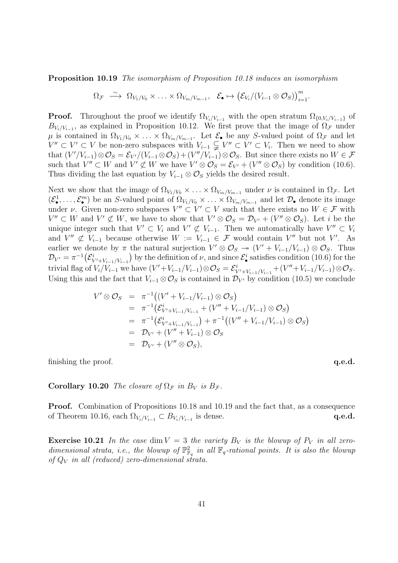Proposition 10.19 The isomorphism of Proposition 10.18 induces an isomorphism

$$
\Omega_{\mathcal{F}} \stackrel{\sim}{\longrightarrow} \Omega_{V_1/V_0} \times \ldots \times \Omega_{V_m/V_{m-1}}, \quad \mathcal{E}_{\bullet} \mapsto (\mathcal{E}_{V_i}/(V_{i-1} \otimes \mathcal{O}_S))_{i=1}^m.
$$

**Proof.** Throughout the proof we identify  $\Omega_{V_i/V_{i-1}}$  with the open stratum  $\Omega_{\{0,V_i/V_{i-1}\}}$  of  $B_{V_i/V_{i-1}}$ , as explained in Proposition 10.12. We first prove that the image of  $\Omega_{\mathcal{F}}$  under  $\mu$  is contained in  $\Omega_{V_1/V_0} \times \ldots \times \Omega_{V_m/V_{m-1}}$ . Let  $\mathcal{E}_\bullet$  be any S-valued point of  $\Omega_{\mathcal{F}}$  and let  $V'' ⊂ V' ⊂ V$  be non-zero subspaces with  $V_{i-1} ⊆ V'' ⊂ V' ⊂ V_i$ . Then we need to show that  $(V'/V_{i-1})\otimes\mathcal{O}_S=\mathcal{E}_{V'}/(V_{i-1}\otimes\mathcal{O}_S)+(V''/V_{i-1})\otimes\mathcal{O}_S$ . But since there exists no  $W\in\mathcal{F}$ such that  $V'' \subset W$  and  $V' \not\subset W$  we have  $V' \otimes \mathcal{O}_S = \mathcal{E}_{V'} + (V'' \otimes \mathcal{O}_S)$  by condition (10.6). Thus dividing the last equation by  $V_{i-1} \otimes \mathcal{O}_S$  yields the desired result.

Next we show that the image of  $\Omega_{V_1/V_0} \times \ldots \times \Omega_{V_m/V_{m-1}}$  under  $\nu$  is contained in  $\Omega_{\mathcal{F}}$ . Let  $(\mathcal{E}^1_\bullet,\ldots,\mathcal{E}^m_\bullet)$  be an S-valued point of  $\Omega_{V_1/V_0}\times\ldots\times\Omega_{V_m/V_{m-1}}$  and let  $\mathcal{D}_\bullet$  denote its image under  $\nu$ . Given non-zero subspaces  $V'' \subset V' \subset V$  such that there exists no  $W \in \mathcal{F}$  with  $V'' \subset W$  and  $V' \not\subset W$ , we have to show that  $V' \otimes \mathcal{O}_S = \mathcal{D}_{V'} + (V'' \otimes \mathcal{O}_S)$ . Let i be the unique integer such that  $V' \subset V_i$  and  $V' \not\subset V_{i-1}$ . Then we automatically have  $V'' \subset V_i$ and  $V'' \not\subset V_{i-1}$  because otherwise  $W := V_{i-1} \in \mathcal{F}$  would contain  $V''$  but not  $V'$ . As earlier we denote by  $\pi$  the natural surjection  $V' \otimes \mathcal{O}_S \rightarrow (V' + V_{i-1}/V_{i-1}) \otimes \mathcal{O}_S$ . Thus  $\mathcal{D}_{V'} = \pi^{-1}(\mathcal{E}_{V'+V_{i-1}/V_{i-1}}^i)$  by the definition of  $\nu$ , and since  $\mathcal{E}_{\bullet}^i$  satisfies condition (10.6) for the trivial flag of  $V_i/V_{i-1}$  we have  $(V' + V_{i-1}/V_{i-1}) \otimes \mathcal{O}_S = \mathcal{E}_{V' + V_{i-1}/V_{i-1}}^i + (V'' + V_{i-1}/V_{i-1}) \otimes \mathcal{O}_S$ . Using this and the fact that  $V_{i-1} \otimes \mathcal{O}_S$  is contained in  $\mathcal{D}_{V'}$  by condition (10.5) we conclude

$$
V' \otimes \mathcal{O}_S = \pi^{-1}((V' + V_{i-1}/V_{i-1}) \otimes \mathcal{O}_S)
$$
  
\n
$$
= \pi^{-1}(\mathcal{E}_{V' + V_{i-1}/V_{i-1}}^i + (V'' + V_{i-1}/V_{i-1}) \otimes \mathcal{O}_S)
$$
  
\n
$$
= \pi^{-1}(\mathcal{E}_{V' + V_{i-1}/V_{i-1}}^i) + \pi^{-1}((V'' + V_{i-1}/V_{i-1}) \otimes \mathcal{O}_S)
$$
  
\n
$$
= \mathcal{D}_{V'} + (V'' + V_{i-1}) \otimes \mathcal{O}_S
$$
  
\n
$$
= \mathcal{D}_{V'} + (V'' \otimes \mathcal{O}_S),
$$

finishing the proof.  $q.e.d.$ 

**Corollary 10.20** The closure of  $\Omega_{\mathcal{F}}$  in  $B_V$  is  $B_{\mathcal{F}}$ .

**Proof.** Combination of Propositions 10.18 and 10.19 and the fact that, as a consequence of Theorem 10.16, each  $\Omega_{V_i/V_{i-1}} \subset B_{V_i/V_{i-1}}$  is dense. q.e.d.

**Exercise 10.21** In the case dim  $V = 3$  the variety  $B_V$  is the blowup of  $P_V$  in all zerodimensional strata, i.e., the blowup of  $\mathbb{P}^2_{\mathbb{F}}$  $\mathbb{F}_q^2$  in all  $\mathbb{F}_q$ -rational points. It is also the blowup of  $Q_V$  in all (reduced) zero-dimensional strata.